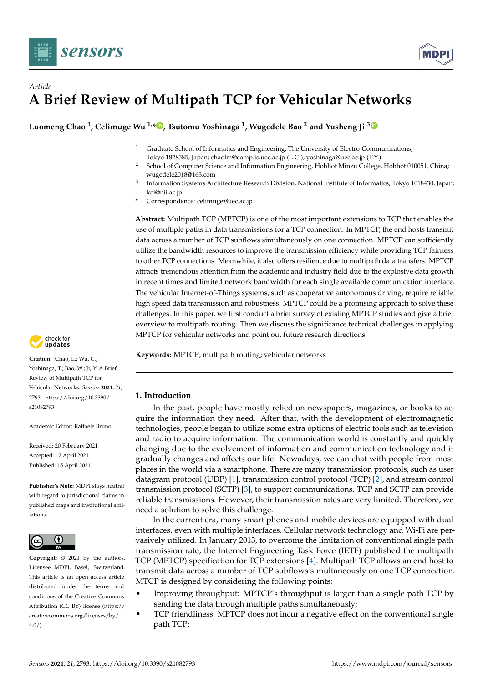

# *Article* **A Brief Review of Multipath TCP for Vehicular Networks**

**Luomeng Chao <sup>1</sup> , Celimuge Wu 1,[\\*](https://orcid.org/0000-0001-6853-5878) , Tsutomu Yoshinaga <sup>1</sup> , Wugedele Bao <sup>2</sup> and Yusheng Ji [3](https://orcid.org/0000-0003-4364-8491)**

- <sup>1</sup> Graduate School of Informatics and Engineering, The University of Electro-Communications, Tokyo 1828585, Japan; chaolm@comp.is.uec.ac.jp (L.C.); yoshinaga@uec.ac.jp (T.Y.)
- <sup>2</sup> School of Computer Science and Information Engineering, Hohhot Minzu College, Hohhot 010051, China; wugedele2018@163.com
- 3 Information Systems Architecture Research Division, National Institute of Informatics, Tokyo 1018430, Japan; kei@nii.ac.jp
- **\*** Correspondence: celimuge@uec.ac.jp

**Abstract:** Multipath TCP (MPTCP) is one of the most important extensions to TCP that enables the use of multiple paths in data transmissions for a TCP connection. In MPTCP, the end hosts transmit data across a number of TCP subflows simultaneously on one connection. MPTCP can sufficiently utilize the bandwidth resources to improve the transmission efficiency while providing TCP fairness to other TCP connections. Meanwhile, it also offers resilience due to multipath data transfers. MPTCP attracts tremendous attention from the academic and industry field due to the explosive data growth in recent times and limited network bandwidth for each single available communication interface. The vehicular Internet-of-Things systems, such as cooperative autonomous driving, require reliable high speed data transmission and robustness. MPTCP could be a promising approach to solve these challenges. In this paper, we first conduct a brief survey of existing MPTCP studies and give a brief overview to multipath routing. Then we discuss the significance technical challenges in applying MPTCP for vehicular networks and point out future research directions.

**Keywords:** MPTCP; multipath routing; vehicular networks



**Citation:** Chao, L.; Wu, C.; Yoshinaga, T.; Bao, W.; Ji, Y. A Brief Review of Multipath TCP for Vehicular Networks. *Sensors* **2021**, *21*, 2793. [https://doi.org/10.3390/](https://doi.org/10.3390/s21082793) [s21082793](https://doi.org/10.3390/s21082793)

Academic Editor: Raffaele Bruno

Received: 20 February 2021 Accepted: 12 April 2021 Published: 15 April 2021

**Publisher's Note:** MDPI stays neutral with regard to jurisdictional claims in published maps and institutional affiliations.



**Copyright:** © 2021 by the authors. Licensee MDPI, Basel, Switzerland. This article is an open access article distributed under the terms and conditions of the Creative Commons Attribution (CC BY) license (https:/[/](https://creativecommons.org/licenses/by/4.0/) [creativecommons.org/licenses/by/](https://creativecommons.org/licenses/by/4.0/)  $4.0/$ ).

**1. Introduction**

In the past, people have mostly relied on newspapers, magazines, or books to acquire the information they need. After that, with the development of electromagnetic technologies, people began to utilize some extra options of electric tools such as television and radio to acquire information. The communication world is constantly and quickly changing due to the evolvement of information and communication technology and it gradually changes and affects our life. Nowadays, we can chat with people from most places in the world via a smartphone. There are many transmission protocols, such as user datagram protocol (UDP) [\[1\]](#page-28-0), transmission control protocol (TCP) [\[2\]](#page-28-1), and stream control transmission protocol (SCTP) [\[3\]](#page-28-2), to support communications. TCP and SCTP can provide reliable transmissions. However, their transmission rates are very limited. Therefore, we need a solution to solve this challenge.

In the current era, many smart phones and mobile devices are equipped with dual interfaces, even with multiple interfaces. Cellular network technology and Wi-Fi are pervasively utilized. In January 2013, to overcome the limitation of conventional single path transmission rate, the Internet Engineering Task Force (IETF) published the multipath TCP (MPTCP) specification for TCP extensions [\[4\]](#page-28-3). Multipath TCP allows an end host to transmit data across a number of TCP subflows simultaneously on one TCP connection. MTCP is designed by considering the following points:

- Improving throughput: MPTCP's throughput is larger than a single path TCP by sending the data through multiple paths simultaneously;
- TCP friendliness: MPTCP does not incur a negative effect on the conventional single path TCP;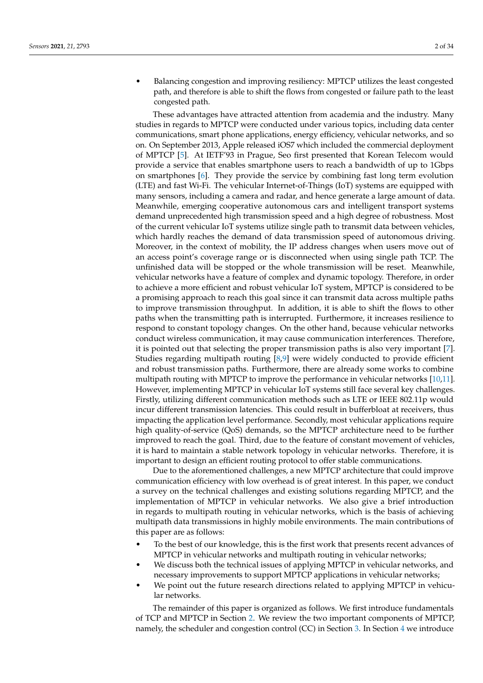• Balancing congestion and improving resiliency: MPTCP utilizes the least congested path, and therefore is able to shift the flows from congested or failure path to the least congested path.

These advantages have attracted attention from academia and the industry. Many studies in regards to MPTCP were conducted under various topics, including data center communications, smart phone applications, energy efficiency, vehicular networks, and so on. On September 2013, Apple released iOS7 which included the commercial deployment of MPTCP [\[5\]](#page-28-4). At IETF'93 in Prague, Seo first presented that Korean Telecom would provide a service that enables smartphone users to reach a bandwidth of up to 1Gbps on smartphones [\[6\]](#page-28-5). They provide the service by combining fast long term evolution (LTE) and fast Wi-Fi. The vehicular Internet-of-Things (IoT) systems are equipped with many sensors, including a camera and radar, and hence generate a large amount of data. Meanwhile, emerging cooperative autonomous cars and intelligent transport systems demand unprecedented high transmission speed and a high degree of robustness. Most of the current vehicular IoT systems utilize single path to transmit data between vehicles, which hardly reaches the demand of data transmission speed of autonomous driving. Moreover, in the context of mobility, the IP address changes when users move out of an access point's coverage range or is disconnected when using single path TCP. The unfinished data will be stopped or the whole transmission will be reset. Meanwhile, vehicular networks have a feature of complex and dynamic topology. Therefore, in order to achieve a more efficient and robust vehicular IoT system, MPTCP is considered to be a promising approach to reach this goal since it can transmit data across multiple paths to improve transmission throughput. In addition, it is able to shift the flows to other paths when the transmitting path is interrupted. Furthermore, it increases resilience to respond to constant topology changes. On the other hand, because vehicular networks conduct wireless communication, it may cause communication interferences. Therefore, it is pointed out that selecting the proper transmission paths is also very important [\[7\]](#page-28-6). Studies regarding multipath routing [\[8](#page-28-7)[,9\]](#page-28-8) were widely conducted to provide efficient and robust transmission paths. Furthermore, there are already some works to combine multipath routing with MPTCP to improve the performance in vehicular networks [\[10](#page-28-9)[,11\]](#page-28-10). However, implementing MPTCP in vehicular IoT systems still face several key challenges. Firstly, utilizing different communication methods such as LTE or IEEE 802.11p would incur different transmission latencies. This could result in bufferbloat at receivers, thus impacting the application level performance. Secondly, most vehicular applications require high quality-of-service (QoS) demands, so the MPTCP architecture need to be further improved to reach the goal. Third, due to the feature of constant movement of vehicles, it is hard to maintain a stable network topology in vehicular networks. Therefore, it is important to design an efficient routing protocol to offer stable communications.

Due to the aforementioned challenges, a new MPTCP architecture that could improve communication efficiency with low overhead is of great interest. In this paper, we conduct a survey on the technical challenges and existing solutions regarding MPTCP, and the implementation of MPTCP in vehicular networks. We also give a brief introduction in regards to multipath routing in vehicular networks, which is the basis of achieving multipath data transmissions in highly mobile environments. The main contributions of this paper are as follows:

- To the best of our knowledge, this is the first work that presents recent advances of MPTCP in vehicular networks and multipath routing in vehicular networks;
- We discuss both the technical issues of applying MPTCP in vehicular networks, and necessary improvements to support MPTCP applications in vehicular networks;
- We point out the future research directions related to applying MPTCP in vehicular networks.

The remainder of this paper is organized as follows. We first introduce fundamentals of TCP and MPTCP in Section [2.](#page-2-0) We review the two important components of MPTCP, namely, the scheduler and congestion control (CC) in Section [3.](#page-9-0) In Section [4](#page-18-0) we introduce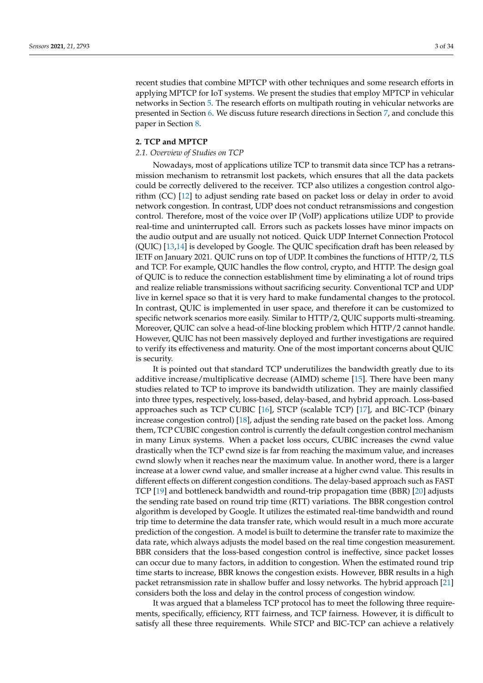recent studies that combine MPTCP with other techniques and some research efforts in applying MPTCP for IoT systems. We present the studies that employ MPTCP in vehicular networks in Section [5.](#page-19-0) The research efforts on multipath routing in vehicular networks are presented in Section [6.](#page-22-0) We discuss future research directions in Section [7,](#page-25-0) and conclude this paper in Section [8.](#page-26-0)

## <span id="page-2-0"></span>**2. TCP and MPTCP**

#### *2.1. Overview of Studies on TCP*

Nowadays, most of applications utilize TCP to transmit data since TCP has a retransmission mechanism to retransmit lost packets, which ensures that all the data packets could be correctly delivered to the receiver. TCP also utilizes a congestion control algorithm (CC) [\[12\]](#page-29-0) to adjust sending rate based on packet loss or delay in order to avoid network congestion. In contrast, UDP does not conduct retransmissions and congestion control. Therefore, most of the voice over IP (VoIP) applications utilize UDP to provide real-time and uninterrupted call. Errors such as packets losses have minor impacts on the audio output and are usually not noticed. Quick UDP Internet Connection Protocol (QUIC) [\[13](#page-29-1)[,14\]](#page-29-2) is developed by Google. The QUIC specification draft has been released by IETF on January 2021. QUIC runs on top of UDP. It combines the functions of HTTP/2, TLS and TCP. For example, QUIC handles the flow control, crypto, and HTTP. The design goal of QUIC is to reduce the connection establishment time by eliminating a lot of round trips and realize reliable transmissions without sacrificing security. Conventional TCP and UDP live in kernel space so that it is very hard to make fundamental changes to the protocol. In contrast, QUIC is implemented in user space, and therefore it can be customized to specific network scenarios more easily. Similar to HTTP/2, QUIC supports multi-streaming. Moreover, QUIC can solve a head-of-line blocking problem which HTTP/2 cannot handle. However, QUIC has not been massively deployed and further investigations are required to verify its effectiveness and maturity. One of the most important concerns about QUIC is security.

It is pointed out that standard TCP underutilizes the bandwidth greatly due to its additive increase/multiplicative decrease (AIMD) scheme [\[15\]](#page-29-3). There have been many studies related to TCP to improve its bandwidth utilization. They are mainly classified into three types, respectively, loss-based, delay-based, and hybrid approach. Loss-based approaches such as TCP CUBIC [\[16\]](#page-29-4), STCP (scalable TCP) [\[17\]](#page-29-5), and BIC-TCP (binary increase congestion control) [\[18\]](#page-29-6), adjust the sending rate based on the packet loss. Among them, TCP CUBIC congestion control is currently the default congestion control mechanism in many Linux systems. When a packet loss occurs, CUBIC increases the cwnd value drastically when the TCP cwnd size is far from reaching the maximum value, and increases cwnd slowly when it reaches near the maximum value. In another word, there is a larger increase at a lower cwnd value, and smaller increase at a higher cwnd value. This results in different effects on different congestion conditions. The delay-based approach such as FAST TCP [\[19\]](#page-29-7) and bottleneck bandwidth and round-trip propagation time (BBR) [\[20\]](#page-29-8) adjusts the sending rate based on round trip time (RTT) variations. The BBR congestion control algorithm is developed by Google. It utilizes the estimated real-time bandwidth and round trip time to determine the data transfer rate, which would result in a much more accurate prediction of the congestion. A model is built to determine the transfer rate to maximize the data rate, which always adjusts the model based on the real time congestion measurement. BBR considers that the loss-based congestion control is ineffective, since packet losses can occur due to many factors, in addition to congestion. When the estimated round trip time starts to increase, BBR knows the congestion exists. However, BBR results in a high packet retransmission rate in shallow buffer and lossy networks. The hybrid approach [\[21\]](#page-29-9) considers both the loss and delay in the control process of congestion window.

It was argued that a blameless TCP protocol has to meet the following three requirements, specifically, efficiency, RTT fairness, and TCP fairness. However, it is difficult to satisfy all these three requirements. While STCP and BIC-TCP can achieve a relatively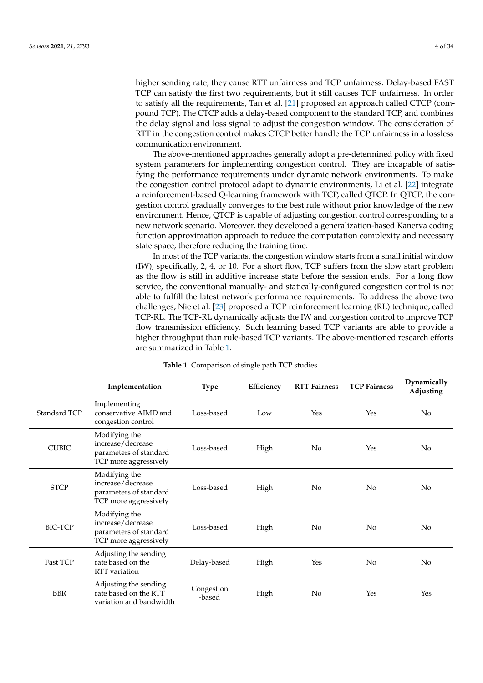higher sending rate, they cause RTT unfairness and TCP unfairness. Delay-based FAST TCP can satisfy the first two requirements, but it still causes TCP unfairness. In order to satisfy all the requirements, Tan et al. [\[21\]](#page-29-9) proposed an approach called CTCP (compound TCP). The CTCP adds a delay-based component to the standard TCP, and combines the delay signal and loss signal to adjust the congestion window. The consideration of RTT in the congestion control makes CTCP better handle the TCP unfairness in a lossless communication environment.

The above-mentioned approaches generally adopt a pre-determined policy with fixed system parameters for implementing congestion control. They are incapable of satisfying the performance requirements under dynamic network environments. To make the congestion control protocol adapt to dynamic environments, Li et al. [\[22\]](#page-29-10) integrate a reinforcement-based Q-learning framework with TCP, called QTCP. In QTCP, the congestion control gradually converges to the best rule without prior knowledge of the new environment. Hence, QTCP is capable of adjusting congestion control corresponding to a new network scenario. Moreover, they developed a generalization-based Kanerva coding function approximation approach to reduce the computation complexity and necessary state space, therefore reducing the training time.

In most of the TCP variants, the congestion window starts from a small initial window (IW), specifically, 2, 4, or 10. For a short flow, TCP suffers from the slow start problem as the flow is still in additive increase state before the session ends. For a long flow service, the conventional manually- and statically-configured congestion control is not able to fulfill the latest network performance requirements. To address the above two challenges, Nie et al. [\[23\]](#page-29-11) proposed a TCP reinforcement learning (RL) technique, called TCP-RL. The TCP-RL dynamically adjusts the IW and congestion control to improve TCP flow transmission efficiency. Such learning based TCP variants are able to provide a higher throughput than rule-based TCP variants. The above-mentioned research efforts are summarized in Table [1.](#page-4-0)

|                 | Implementation                                                                        | <b>Type</b>          | Efficiency | <b>RTT Fairness</b> | <b>TCP Fairness</b> | Dynamically<br>Adjusting |
|-----------------|---------------------------------------------------------------------------------------|----------------------|------------|---------------------|---------------------|--------------------------|
| Standard TCP    | Implementing<br>conservative AIMD and<br>congestion control                           | Loss-based           | Low        | Yes                 | Yes                 | N <sub>o</sub>           |
| <b>CUBIC</b>    | Modifying the<br>increase/decrease<br>parameters of standard<br>TCP more aggressively | Loss-based           | High       | N <sub>o</sub>      | Yes                 | N <sub>0</sub>           |
| <b>STCP</b>     | Modifying the<br>increase/decrease<br>parameters of standard<br>TCP more aggressively | Loss-based           | High       | N <sub>o</sub>      | No                  | N <sub>o</sub>           |
| <b>BIC-TCP</b>  | Modifying the<br>increase/decrease<br>parameters of standard<br>TCP more aggressively | Loss-based           | High       | N <sub>o</sub>      | No                  | $\rm No$                 |
| <b>Fast TCP</b> | Adjusting the sending<br>rate based on the<br>RTT variation                           | Delay-based          | High       | Yes                 | N <sub>0</sub>      | N <sub>o</sub>           |
| <b>BBR</b>      | Adjusting the sending<br>rate based on the RTT<br>variation and bandwidth             | Congestion<br>-based | High       | N <sub>o</sub>      | Yes                 | Yes                      |

**Table 1.** Comparison of single path TCP studies.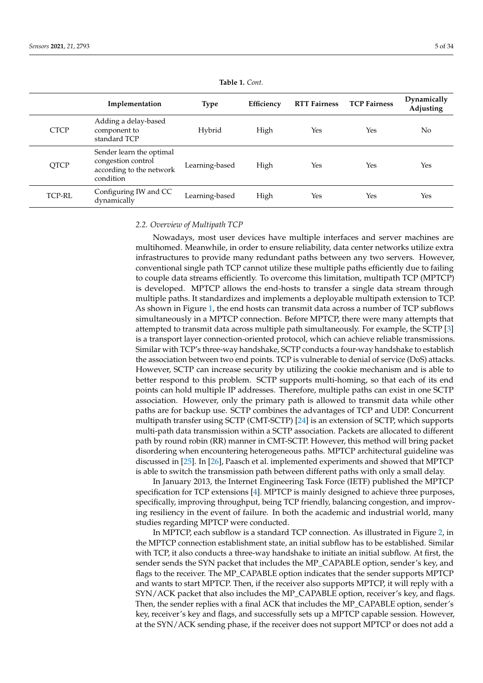<span id="page-4-0"></span>

|               | Implementation                                                                          | <b>Type</b>    | Efficiency | <b>RTT Fairness</b> | <b>TCP Fairness</b> | Dynamically<br>Adjusting |
|---------------|-----------------------------------------------------------------------------------------|----------------|------------|---------------------|---------------------|--------------------------|
| <b>CTCP</b>   | Adding a delay-based<br>component to<br>standard TCP                                    | Hybrid         | High       | Yes                 | Yes                 | No                       |
| <b>QTCP</b>   | Sender learn the optimal<br>congestion control<br>according to the network<br>condition | Learning-based | High       | Yes                 | Yes                 | Yes                      |
| <b>TCP-RL</b> | Configuring IW and CC<br>dynamically                                                    | Learning-based | High       | Yes                 | Yes                 | Yes                      |

**Table 1.** *Cont.*

#### *2.2. Overview of Multipath TCP*

Nowadays, most user devices have multiple interfaces and server machines are multihomed. Meanwhile, in order to ensure reliability, data center networks utilize extra infrastructures to provide many redundant paths between any two servers. However, conventional single path TCP cannot utilize these multiple paths efficiently due to failing to couple data streams efficiently. To overcome this limitation, multipath TCP (MPTCP) is developed. MPTCP allows the end-hosts to transfer a single data stream through multiple paths. It standardizes and implements a deployable multipath extension to TCP. As shown in Figure [1,](#page-5-0) the end hosts can transmit data across a number of TCP subflows simultaneously in a MPTCP connection. Before MPTCP, there were many attempts that attempted to transmit data across multiple path simultaneously. For example, the SCTP [\[3\]](#page-28-2) is a transport layer connection-oriented protocol, which can achieve reliable transmissions. Similar with TCP's three-way handshake, SCTP conducts a four-way handshake to establish the association between two end points. TCP is vulnerable to denial of service (DoS) attacks. However, SCTP can increase security by utilizing the cookie mechanism and is able to better respond to this problem. SCTP supports multi-homing, so that each of its end points can hold multiple IP addresses. Therefore, multiple paths can exist in one SCTP association. However, only the primary path is allowed to transmit data while other paths are for backup use. SCTP combines the advantages of TCP and UDP. Concurrent multipath transfer using SCTP (CMT-SCTP) [\[24\]](#page-29-12) is an extension of SCTP, which supports multi-path data transmission within a SCTP association. Packets are allocated to different path by round robin (RR) manner in CMT-SCTP. However, this method will bring packet disordering when encountering heterogeneous paths. MPTCP architectural guideline was discussed in [\[25\]](#page-29-13). In [\[26\]](#page-29-14), Paasch et al. implemented experiments and showed that MPTCP is able to switch the transmission path between different paths with only a small delay.

In January 2013, the Internet Engineering Task Force (IETF) published the MPTCP specification for TCP extensions [\[4\]](#page-28-3). MPTCP is mainly designed to achieve three purposes, specifically, improving throughput, being TCP friendly, balancing congestion, and improving resiliency in the event of failure. In both the academic and industrial world, many studies regarding MPTCP were conducted.

In MPTCP, each subflow is a standard TCP connection. As illustrated in Figure [2,](#page-6-0) in the MPTCP connection establishment state, an initial subflow has to be established. Similar with TCP, it also conducts a three-way handshake to initiate an initial subflow. At first, the sender sends the SYN packet that includes the MP\_CAPABLE option, sender's key, and flags to the receiver. The MP\_CAPABLE option indicates that the sender supports MPTCP and wants to start MPTCP. Then, if the receiver also supports MPTCP, it will reply with a SYN/ACK packet that also includes the MP\_CAPABLE option, receiver's key, and flags. Then, the sender replies with a final ACK that includes the MP\_CAPABLE option, sender's key, receiver's key and flags, and successfully sets up a MPTCP capable session. However, at the SYN/ACK sending phase, if the receiver does not support MPTCP or does not add a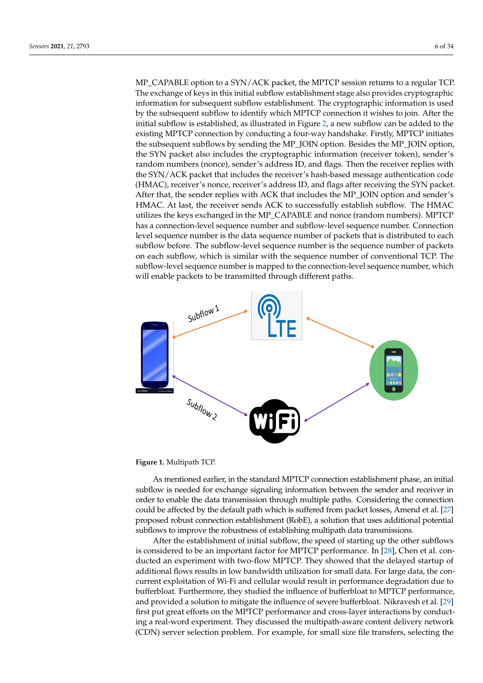MP\_CAPABLE option to a SYN/ACK packet, the MPTCP session returns to a regular TCP. The exchange of keys in this initial subflow establishment stage also provides cryptographic information for subsequent subflow establishment. The cryptographic information is used by the subsequent subflow to identify which MPTCP connection it wishes to join. After the initial subflow is established, as illustrated in Figure [2,](#page-6-0) a new subflow can be added to the existing MPTCP connection by conducting a four-way handshake. Firstly, MPTCP initiates the subsequent subflows by sending the MP\_JOIN option. Besides the MP\_JOIN option, the SYN packet also includes the cryptographic information (receiver token), sender's random numbers (nonce), sender's address ID, and flags. Then the receiver replies with the SYN/ACK packet that includes the receiver's hash-based message authentication code (HMAC), receiver's nonce, receiver's address ID, and flags after receiving the SYN packet. After that, the sender replies with ACK that includes the MP\_JOIN option and sender's HMAC. At last, the receiver sends ACK to successfully establish subflow. The HMAC utilizes the keys exchanged in the MP\_CAPABLE and nonce (random numbers). MPTCP has a connection-level sequence number and subflow-level sequence number. Connection level sequence number is the data sequence number of packets that is distributed to each subflow before. The subflow-level sequence number is the sequence number of packets on each subflow, which is similar with the sequence number of conventional TCP. The subflow-level sequence number is mapped to the connection-level sequence number, which will enable packets to be transmitted through different paths.

<span id="page-5-0"></span>

**Figure 1.** Multipath TCP.

As mentioned earlier, in the standard MPTCP connection establishment phase, an initial subflow is needed for exchange signaling information between the sender and receiver in order to enable the data transmission through multiple paths. Considering the connection could be affected by the default path which is suffered from packet losses, Amend et al. [\[27\]](#page-29-15) proposed robust connection establishment (RobE), a solution that uses additional potential subflows to improve the robustness of establishing multipath data transmissions.

After the establishment of initial subflow, the speed of starting up the other subflows is considered to be an important factor for MPTCP performance. In [\[28\]](#page-29-16), Chen et al. conducted an experiment with two-flow MPTCP. They showed that the delayed startup of additional flows results in low bandwidth utilization for small data. For large data, the concurrent exploitation of Wi-Fi and cellular would result in performance degradation due to bufferbloat. Furthermore, they studied the influence of bufferbloat to MPTCP performance, and provided a solution to mitigate the influence of severe bufferbloat. Nikravesh et al. [\[29\]](#page-29-17) first put great efforts on the MPTCP performance and cross-layer interactions by conducting a real-word experiment. They discussed the multipath-aware content delivery network (CDN) server selection problem. For example, for small size file transfers, selecting the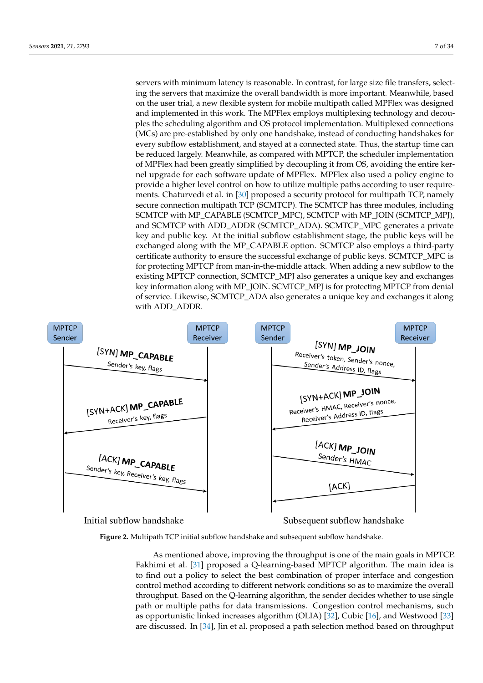servers with minimum latency is reasonable. In contrast, for large size file transfers, selecting the servers that maximize the overall bandwidth is more important. Meanwhile, based on the user trial, a new flexible system for mobile multipath called MPFlex was designed and implemented in this work. The MPFlex employs multiplexing technology and decouples the scheduling algorithm and OS protocol implementation. Multiplexed connections (MCs) are pre-established by only one handshake, instead of conducting handshakes for every subflow establishment, and stayed at a connected state. Thus, the startup time can be reduced largely. Meanwhile, as compared with MPTCP, the scheduler implementation of MPFlex had been greatly simplified by decoupling it from OS, avoiding the entire kernel upgrade for each software update of MPFlex. MPFlex also used a policy engine to provide a higher level control on how to utilize multiple paths according to user requirements. Chaturvedi et al. in [\[30\]](#page-29-18) proposed a security protocol for multipath TCP, namely secure connection multipath TCP (SCMTCP). The SCMTCP has three modules, including SCMTCP with MP\_CAPABLE (SCMTCP\_MPC), SCMTCP with MP\_JOIN (SCMTCP\_MPJ), and SCMTCP with ADD\_ADDR (SCMTCP\_ADA). SCMTCP\_MPC generates a private key and public key. At the initial subflow establishment stage, the public keys will be exchanged along with the MP\_CAPABLE option. SCMTCP also employs a third-party certificate authority to ensure the successful exchange of public keys. SCMTCP\_MPC is for protecting MPTCP from man-in-the-middle attack. When adding a new subflow to the existing MPTCP connection, SCMTCP\_MPJ also generates a unique key and exchanges key information along with MP\_JOIN. SCMTCP\_MPJ is for protecting MPTCP from denial of service. Likewise, SCMTCP\_ADA also generates a unique key and exchanges it along with ADD\_ADDR.

<span id="page-6-0"></span>

**Figure 2.** Multipath TCP initial subflow handshake and subsequent subflow handshake.

As mentioned above, improving the throughput is one of the main goals in MPTCP. Fakhimi et al. [\[31\]](#page-29-19) proposed a Q-learning-based MPTCP algorithm. The main idea is to find out a policy to select the best combination of proper interface and congestion control method according to different network conditions so as to maximize the overall throughput. Based on the Q-learning algorithm, the sender decides whether to use single path or multiple paths for data transmissions. Congestion control mechanisms, such as opportunistic linked increases algorithm (OLIA) [\[32\]](#page-29-20), Cubic [\[16\]](#page-29-4), and Westwood [\[33\]](#page-29-21) are discussed. In [\[34\]](#page-29-22), Jin et al. proposed a path selection method based on throughput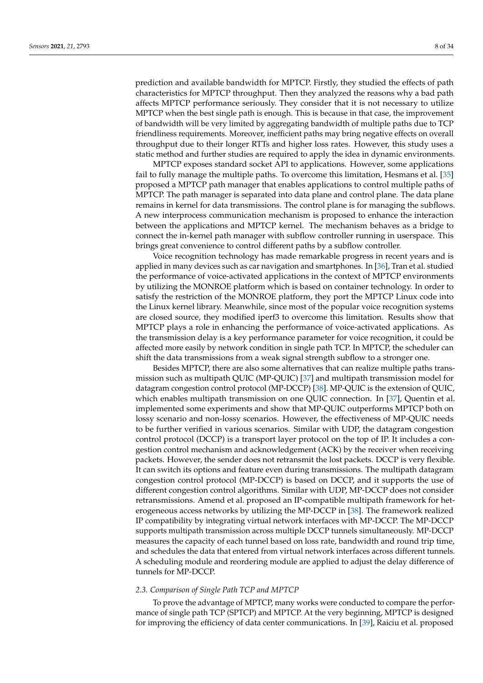prediction and available bandwidth for MPTCP. Firstly, they studied the effects of path characteristics for MPTCP throughput. Then they analyzed the reasons why a bad path affects MPTCP performance seriously. They consider that it is not necessary to utilize MPTCP when the best single path is enough. This is because in that case, the improvement of bandwidth will be very limited by aggregating bandwidth of multiple paths due to TCP friendliness requirements. Moreover, inefficient paths may bring negative effects on overall throughput due to their longer RTTs and higher loss rates. However, this study uses a static method and further studies are required to apply the idea in dynamic environments.

MPTCP exposes standard socket API to applications. However, some applications fail to fully manage the multiple paths. To overcome this limitation, Hesmans et al. [\[35\]](#page-29-23) proposed a MPTCP path manager that enables applications to control multiple paths of MPTCP. The path manager is separated into data plane and control plane. The data plane remains in kernel for data transmissions. The control plane is for managing the subflows. A new interprocess communication mechanism is proposed to enhance the interaction between the applications and MPTCP kernel. The mechanism behaves as a bridge to connect the in-kernel path manager with subflow controller running in userspace. This brings great convenience to control different paths by a subflow controller.

Voice recognition technology has made remarkable progress in recent years and is applied in many devices such as car navigation and smartphones. In [\[36\]](#page-29-24), Tran et al. studied the performance of voice-activated applications in the context of MPTCP environments by utilizing the MONROE platform which is based on container technology. In order to satisfy the restriction of the MONROE platform, they port the MPTCP Linux code into the Linux kernel library. Meanwhile, since most of the popular voice recognition systems are closed source, they modified iperf3 to overcome this limitation. Results show that MPTCP plays a role in enhancing the performance of voice-activated applications. As the transmission delay is a key performance parameter for voice recognition, it could be affected more easily by network condition in single path TCP. In MPTCP, the scheduler can shift the data transmissions from a weak signal strength subflow to a stronger one.

Besides MPTCP, there are also some alternatives that can realize multiple paths transmission such as multipath QUIC (MP-QUIC) [\[37\]](#page-29-25) and multipath transmission model for datagram congestion control protocol (MP-DCCP) [\[38\]](#page-29-26). MP-QUIC is the extension of QUIC, which enables multipath transmission on one QUIC connection. In [\[37\]](#page-29-25), Quentin et al. implemented some experiments and show that MP-QUIC outperforms MPTCP both on lossy scenario and non-lossy scenarios. However, the effectiveness of MP-QUIC needs to be further verified in various scenarios. Similar with UDP, the datagram congestion control protocol (DCCP) is a transport layer protocol on the top of IP. It includes a congestion control mechanism and acknowledgement (ACK) by the receiver when receiving packets. However, the sender does not retransmit the lost packets. DCCP is very flexible. It can switch its options and feature even during transmissions. The multipath datagram congestion control protocol (MP-DCCP) is based on DCCP, and it supports the use of different congestion control algorithms. Similar with UDP, MP-DCCP does not consider retransmissions. Amend et al. proposed an IP-compatible multipath framework for heterogeneous access networks by utilizing the MP-DCCP in [\[38\]](#page-29-26). The framework realized IP compatibility by integrating virtual network interfaces with MP-DCCP. The MP-DCCP supports multipath transmission across multiple DCCP tunnels simultaneously. MP-DCCP measures the capacity of each tunnel based on loss rate, bandwidth and round trip time, and schedules the data that entered from virtual network interfaces across different tunnels. A scheduling module and reordering module are applied to adjust the delay difference of tunnels for MP-DCCP.

# *2.3. Comparison of Single Path TCP and MPTCP*

To prove the advantage of MPTCP, many works were conducted to compare the performance of single path TCP (SPTCP) and MPTCP. At the very beginning, MPTCP is designed for improving the efficiency of data center communications. In [\[39\]](#page-29-27), Raiciu et al. proposed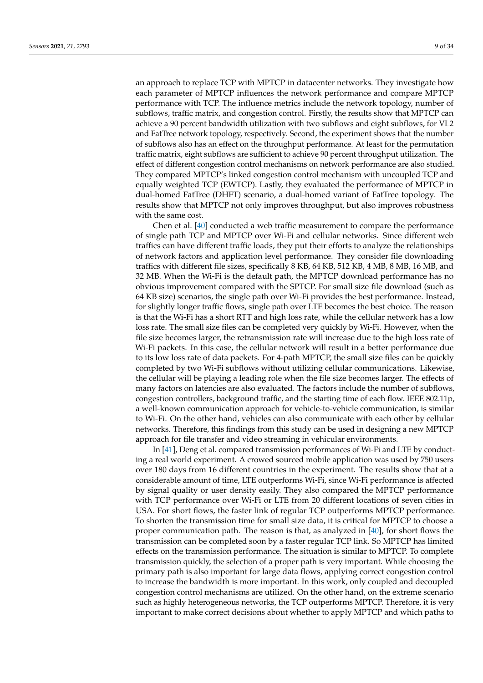an approach to replace TCP with MPTCP in datacenter networks. They investigate how each parameter of MPTCP influences the network performance and compare MPTCP performance with TCP. The influence metrics include the network topology, number of subflows, traffic matrix, and congestion control. Firstly, the results show that MPTCP can achieve a 90 percent bandwidth utilization with two subflows and eight subflows, for VL2 and FatTree network topology, respectively. Second, the experiment shows that the number of subflows also has an effect on the throughput performance. At least for the permutation traffic matrix, eight subflows are sufficient to achieve 90 percent throughput utilization. The effect of different congestion control mechanisms on network performance are also studied. They compared MPTCP's linked congestion control mechanism with uncoupled TCP and equally weighted TCP (EWTCP). Lastly, they evaluated the performance of MPTCP in dual-homed FatTree (DHFT) scenario, a dual-homed variant of FatTree topology. The results show that MPTCP not only improves throughput, but also improves robustness with the same cost.

Chen et al. [\[40\]](#page-30-0) conducted a web traffic measurement to compare the performance of single path TCP and MPTCP over Wi-Fi and cellular networks. Since different web traffics can have different traffic loads, they put their efforts to analyze the relationships of network factors and application level performance. They consider file downloading traffics with different file sizes, specifically 8 KB, 64 KB, 512 KB, 4 MB, 8 MB, 16 MB, and 32 MB. When the Wi-Fi is the default path, the MPTCP download performance has no obvious improvement compared with the SPTCP. For small size file download (such as 64 KB size) scenarios, the single path over Wi-Fi provides the best performance. Instead, for slightly longer traffic flows, single path over LTE becomes the best choice. The reason is that the Wi-Fi has a short RTT and high loss rate, while the cellular network has a low loss rate. The small size files can be completed very quickly by Wi-Fi. However, when the file size becomes larger, the retransmission rate will increase due to the high loss rate of Wi-Fi packets. In this case, the cellular network will result in a better performance due to its low loss rate of data packets. For 4-path MPTCP, the small size files can be quickly completed by two Wi-Fi subflows without utilizing cellular communications. Likewise, the cellular will be playing a leading role when the file size becomes larger. The effects of many factors on latencies are also evaluated. The factors include the number of subflows, congestion controllers, background traffic, and the starting time of each flow. IEEE 802.11p, a well-known communication approach for vehicle-to-vehicle communication, is similar to Wi-Fi. On the other hand, vehicles can also communicate with each other by cellular networks. Therefore, this findings from this study can be used in designing a new MPTCP approach for file transfer and video streaming in vehicular environments.

In [\[41\]](#page-30-1), Deng et al. compared transmission performances of Wi-Fi and LTE by conducting a real world experiment. A crowed sourced mobile application was used by 750 users over 180 days from 16 different countries in the experiment. The results show that at a considerable amount of time, LTE outperforms Wi-Fi, since Wi-Fi performance is affected by signal quality or user density easily. They also compared the MPTCP performance with TCP performance over Wi-Fi or LTE from 20 different locations of seven cities in USA. For short flows, the faster link of regular TCP outperforms MPTCP performance. To shorten the transmission time for small size data, it is critical for MPTCP to choose a proper communication path. The reason is that, as analyzed in [\[40\]](#page-30-0), for short flows the transmission can be completed soon by a faster regular TCP link. So MPTCP has limited effects on the transmission performance. The situation is similar to MPTCP. To complete transmission quickly, the selection of a proper path is very important. While choosing the primary path is also important for large data flows, applying correct congestion control to increase the bandwidth is more important. In this work, only coupled and decoupled congestion control mechanisms are utilized. On the other hand, on the extreme scenario such as highly heterogeneous networks, the TCP outperforms MPTCP. Therefore, it is very important to make correct decisions about whether to apply MPTCP and which paths to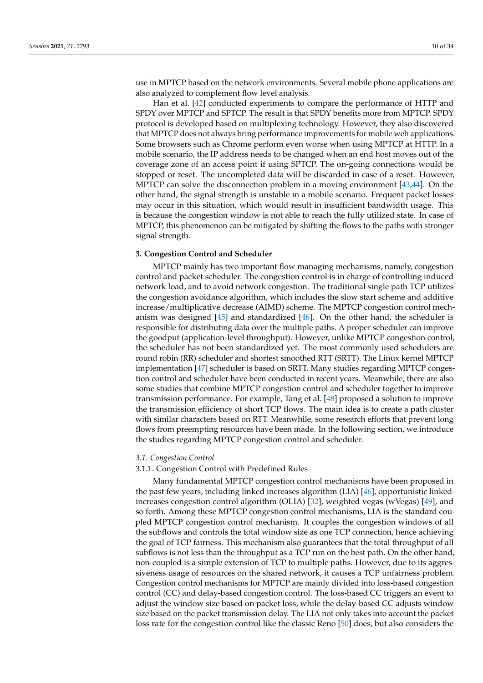use in MPTCP based on the network environments. Several mobile phone applications are also analyzed to complement flow level analysis.

Han et al. [\[42\]](#page-30-2) conducted experiments to compare the performance of HTTP and SPDY over MPTCP and SPTCP. The result is that SPDY benefits more from MPTCP. SPDY protocol is developed based on multiplexing technology. However, they also discovered that MPTCP does not always bring performance improvements for mobile web applications. Some browsers such as Chrome perform even worse when using MPTCP at HTTP. In a mobile scenario, the IP address needs to be changed when an end host moves out of the coverage zone of an access point if using SPTCP. The on-going connections would be stopped or reset. The uncompleted data will be discarded in case of a reset. However, MPTCP can solve the disconnection problem in a moving environment [\[43](#page-30-3)[,44\]](#page-30-4). On the other hand, the signal strength is unstable in a mobile scenario. Frequent packet losses may occur in this situation, which would result in insufficient bandwidth usage. This is because the congestion window is not able to reach the fully utilized state. In case of MPTCP, this phenomenon can be mitigated by shifting the flows to the paths with stronger signal strength.

## <span id="page-9-0"></span>**3. Congestion Control and Scheduler**

MPTCP mainly has two important flow managing mechanisms, namely, congestion control and packet scheduler. The congestion control is in charge of controlling induced network load, and to avoid network congestion. The traditional single path TCP utilizes the congestion avoidance algorithm, which includes the slow start scheme and additive increase/multiplicative decrease (AIMD) scheme. The MPTCP congestion control mechanism was designed [\[45\]](#page-30-5) and standardized [\[46\]](#page-30-6). On the other hand, the scheduler is responsible for distributing data over the multiple paths. A proper scheduler can improve the goodput (application-level throughput). However, unlike MPTCP congestion control, the scheduler has not been standardized yet. The most commonly used schedulers are round robin (RR) scheduler and shortest smoothed RTT (SRTT). The Linux kernel MPTCP implementation [\[47\]](#page-30-7) scheduler is based on SRTT. Many studies regarding MPTCP congestion control and scheduler have been conducted in recent years. Meanwhile, there are also some studies that combine MPTCP congestion control and scheduler together to improve transmission performance. For example, Tang et al. [\[48\]](#page-30-8) proposed a solution to improve the transmission efficiency of short TCP flows. The main idea is to create a path cluster with similar characters based on RTT. Meanwhile, some research efforts that prevent long flows from preempting resources have been made. In the following section, we introduce the studies regarding MPTCP congestion control and scheduler.

# *3.1. Congestion Control*

# 3.1.1. Congestion Control with Predefined Rules

Many fundamental MPTCP congestion control mechanisms have been proposed in the past few years, including linked increases algorithm (LIA) [\[46\]](#page-30-6), opportunistic linkedincreases congestion control algorithm (OLIA) [\[32\]](#page-29-20), weighted vegas (wVegas) [\[49\]](#page-30-9), and so forth. Among these MPTCP congestion control mechanisms, LIA is the standard coupled MPTCP congestion control mechanism. It couples the congestion windows of all the subflows and controls the total window size as one TCP connection, hence achieving the goal of TCP fairness. This mechanism also guarantees that the total throughput of all subflows is not less than the throughput as a TCP run on the best path. On the other hand, non-coupled is a simple extension of TCP to multiple paths. However, due to its aggressiveness usage of resources on the shared network, it causes a TCP unfairness problem. Congestion control mechanisms for MPTCP are mainly divided into loss-based congestion control (CC) and delay-based congestion control. The loss-based CC triggers an event to adjust the window size based on packet loss, while the delay-based CC adjusts window size based on the packet transmission delay. The LIA not only takes into account the packet loss rate for the congestion control like the classic Reno [\[50\]](#page-30-10) does, but also considers the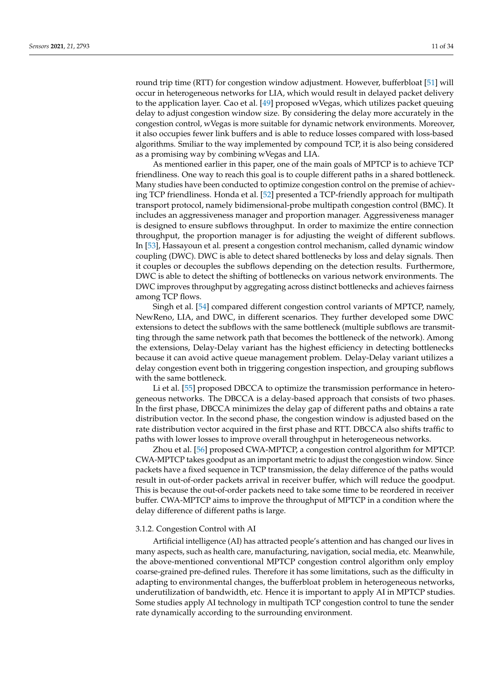round trip time (RTT) for congestion window adjustment. However, bufferbloat [\[51\]](#page-30-11) will occur in heterogeneous networks for LIA, which would result in delayed packet delivery to the application layer. Cao et al. [\[49\]](#page-30-9) proposed wVegas, which utilizes packet queuing delay to adjust congestion window size. By considering the delay more accurately in the congestion control, wVegas is more suitable for dynamic network environments. Moreover, it also occupies fewer link buffers and is able to reduce losses compared with loss-based algorithms. Smiliar to the way implemented by compound TCP, it is also being considered as a promising way by combining wVegas and LIA.

As mentioned earlier in this paper, one of the main goals of MPTCP is to achieve TCP friendliness. One way to reach this goal is to couple different paths in a shared bottleneck. Many studies have been conducted to optimize congestion control on the premise of achieving TCP friendliness. Honda et al. [\[52\]](#page-30-12) presented a TCP-friendly approach for multipath transport protocol, namely bidimensional-probe multipath congestion control (BMC). It includes an aggressiveness manager and proportion manager. Aggressiveness manager is designed to ensure subflows throughput. In order to maximize the entire connection throughput, the proportion manager is for adjusting the weight of different subflows. In [\[53\]](#page-30-13), Hassayoun et al. present a congestion control mechanism, called dynamic window coupling (DWC). DWC is able to detect shared bottlenecks by loss and delay signals. Then it couples or decouples the subflows depending on the detection results. Furthermore, DWC is able to detect the shifting of bottlenecks on various network environments. The DWC improves throughput by aggregating across distinct bottlenecks and achieves fairness among TCP flows.

Singh et al. [\[54\]](#page-30-14) compared different congestion control variants of MPTCP, namely, NewReno, LIA, and DWC, in different scenarios. They further developed some DWC extensions to detect the subflows with the same bottleneck (multiple subflows are transmitting through the same network path that becomes the bottleneck of the network). Among the extensions, Delay-Delay variant has the highest efficiency in detecting bottlenecks because it can avoid active queue management problem. Delay-Delay variant utilizes a delay congestion event both in triggering congestion inspection, and grouping subflows with the same bottleneck.

Li et al. [\[55\]](#page-30-15) proposed DBCCA to optimize the transmission performance in heterogeneous networks. The DBCCA is a delay-based approach that consists of two phases. In the first phase, DBCCA minimizes the delay gap of different paths and obtains a rate distribution vector. In the second phase, the congestion window is adjusted based on the rate distribution vector acquired in the first phase and RTT. DBCCA also shifts traffic to paths with lower losses to improve overall throughput in heterogeneous networks.

Zhou et al. [\[56\]](#page-30-16) proposed CWA-MPTCP, a congestion control algorithm for MPTCP. CWA-MPTCP takes goodput as an important metric to adjust the congestion window. Since packets have a fixed sequence in TCP transmission, the delay difference of the paths would result in out-of-order packets arrival in receiver buffer, which will reduce the goodput. This is because the out-of-order packets need to take some time to be reordered in receiver buffer. CWA-MPTCP aims to improve the throughput of MPTCP in a condition where the delay difference of different paths is large.

#### 3.1.2. Congestion Control with AI

Artificial intelligence (AI) has attracted people's attention and has changed our lives in many aspects, such as health care, manufacturing, navigation, social media, etc. Meanwhile, the above-mentioned conventional MPTCP congestion control algorithm only employ coarse-grained pre-defined rules. Therefore it has some limitations, such as the difficulty in adapting to environmental changes, the bufferbloat problem in heterogeneous networks, underutilization of bandwidth, etc. Hence it is important to apply AI in MPTCP studies. Some studies apply AI technology in multipath TCP congestion control to tune the sender rate dynamically according to the surrounding environment.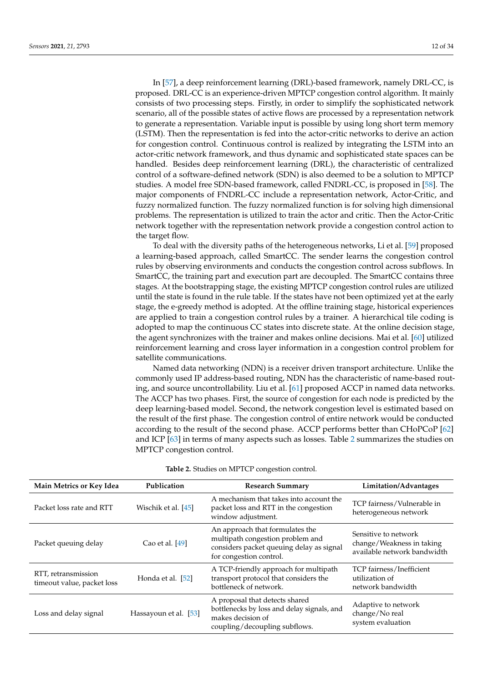In [\[57\]](#page-30-17), a deep reinforcement learning (DRL)-based framework, namely DRL-CC, is proposed. DRL-CC is an experience-driven MPTCP congestion control algorithm. It mainly consists of two processing steps. Firstly, in order to simplify the sophisticated network scenario, all of the possible states of active flows are processed by a representation network to generate a representation. Variable input is possible by using long short term memory (LSTM). Then the representation is fed into the actor-critic networks to derive an action for congestion control. Continuous control is realized by integrating the LSTM into an actor-critic network framework, and thus dynamic and sophisticated state spaces can be handled. Besides deep reinforcement learning (DRL), the characteristic of centralized control of a software-defined network (SDN) is also deemed to be a solution to MPTCP studies. A model free SDN-based framework, called FNDRL-CC, is proposed in [\[58\]](#page-30-18). The major components of FNDRL-CC include a representation network, Actor-Critic, and fuzzy normalized function. The fuzzy normalized function is for solving high dimensional problems. The representation is utilized to train the actor and critic. Then the Actor-Critic network together with the representation network provide a congestion control action to the target flow.

To deal with the diversity paths of the heterogeneous networks, Li et al. [\[59\]](#page-30-19) proposed a learning-based approach, called SmartCC. The sender learns the congestion control rules by observing environments and conducts the congestion control across subflows. In SmartCC, the training part and execution part are decoupled. The SmartCC contains three stages. At the bootstrapping stage, the existing MPTCP congestion control rules are utilized until the state is found in the rule table. If the states have not been optimized yet at the early stage, the e-greedy method is adopted. At the offline training stage, historical experiences are applied to train a congestion control rules by a trainer. A hierarchical tile coding is adopted to map the continuous CC states into discrete state. At the online decision stage, the agent synchronizes with the trainer and makes online decisions. Mai et al. [\[60\]](#page-30-20) utilized reinforcement learning and cross layer information in a congestion control problem for satellite communications.

Named data networking (NDN) is a receiver driven transport architecture. Unlike the commonly used IP address-based routing, NDN has the characteristic of name-based routing, and source uncontrollability. Liu et al. [\[61\]](#page-30-21) proposed ACCP in named data networks. The ACCP has two phases. First, the source of congestion for each node is predicted by the deep learning-based model. Second, the network congestion level is estimated based on the result of the first phase. The congestion control of entire network would be conducted according to the result of the second phase. ACCP performs better than CHoPCoP [\[62\]](#page-30-22) and ICP [\[63\]](#page-30-23) in terms of many aspects such as losses. Table [2](#page-12-0) summarizes the studies on MPTCP congestion control.

| Main Metrics or Key Idea                          | Publication           | <b>Research Summary</b>                                                                                                                    | Limitation/Advantages                                                            |
|---------------------------------------------------|-----------------------|--------------------------------------------------------------------------------------------------------------------------------------------|----------------------------------------------------------------------------------|
| Packet loss rate and RTT                          | Wischik et al. [45]   | A mechanism that takes into account the<br>packet loss and RTT in the congestion<br>window adjustment.                                     | TCP fairness/Vulnerable in<br>heterogeneous network                              |
| Packet queuing delay                              | Cao et al. [49]       | An approach that formulates the<br>multipath congestion problem and<br>considers packet queuing delay as signal<br>for congestion control. | Sensitive to network<br>change/Weakness in taking<br>available network bandwidth |
| RTT, retransmission<br>timeout value, packet loss | Honda et al. [52]     | A TCP-friendly approach for multipath<br>transport protocol that considers the<br>bottleneck of network.                                   | TCP fairness/Inefficient<br>utilization of<br>network bandwidth                  |
| Loss and delay signal                             | Hassayoun et al. [53] | A proposal that detects shared<br>bottlenecks by loss and delay signals, and<br>makes decision of<br>coupling/decoupling subflows.         | Adaptive to network<br>change/No real<br>system evaluation                       |

**Table 2.** Studies on MPTCP congestion control.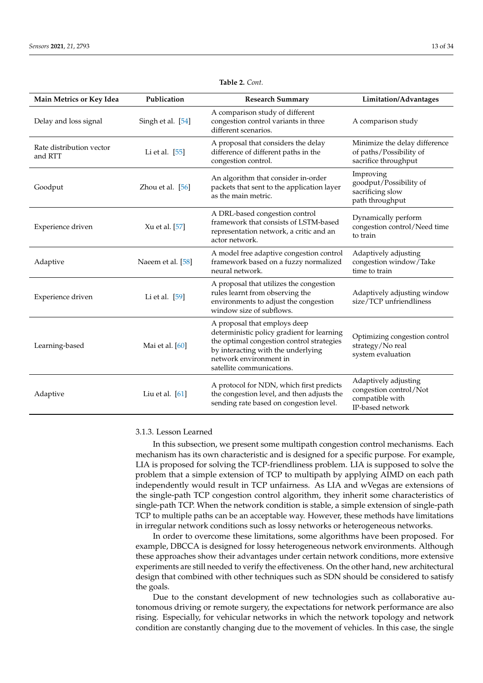<span id="page-12-0"></span>

| Main Metrics or Key Idea            | Publication       | <b>Research Summary</b>                                                                                                                                                                                              | Limitation/Advantages                                                                 |
|-------------------------------------|-------------------|----------------------------------------------------------------------------------------------------------------------------------------------------------------------------------------------------------------------|---------------------------------------------------------------------------------------|
| Delay and loss signal               | Singh et al. [54] | A comparison study of different<br>congestion control variants in three<br>different scenarios.                                                                                                                      | A comparison study                                                                    |
| Rate distribution vector<br>and RTT | Li et al. $[55]$  | A proposal that considers the delay<br>difference of different paths in the<br>congestion control.                                                                                                                   | Minimize the delay difference<br>of paths/Possibility of<br>sacrifice throughput      |
| Goodput                             | Zhou et al. [56]  | An algorithm that consider in-order<br>packets that sent to the application layer<br>as the main metric.                                                                                                             | Improving<br>goodput/Possibility of<br>sacrificing slow<br>path throughput            |
| Experience driven                   | Xu et al. [57]    | A DRL-based congestion control<br>framework that consists of LSTM-based<br>representation network, a critic and an<br>actor network.                                                                                 | Dynamically perform<br>congestion control/Need time<br>to train                       |
| Adaptive                            | Naeem et al. [58] | A model free adaptive congestion control<br>framework based on a fuzzy normalized<br>neural network.                                                                                                                 | Adaptively adjusting<br>congestion window/Take<br>time to train                       |
| Experience driven                   | Li et al. $[59]$  | A proposal that utilizes the congestion<br>rules learnt from observing the<br>environments to adjust the congestion<br>window size of subflows.                                                                      | Adaptively adjusting window<br>size/TCP unfriendliness                                |
| Learning-based                      | Mai et al. [60]   | A proposal that employs deep<br>deterministic policy gradient for learning<br>the optimal congestion control strategies<br>by interacting with the underlying<br>network environment in<br>satellite communications. | Optimizing congestion control<br>strategy/No real<br>system evaluation                |
| Adaptive                            | Liu et al. $[61]$ | A protocol for NDN, which first predicts<br>the congestion level, and then adjusts the<br>sending rate based on congestion level.                                                                                    | Adaptively adjusting<br>congestion control/Not<br>compatible with<br>IP-based network |

**Table 2.** *Cont.*

# 3.1.3. Lesson Learned

In this subsection, we present some multipath congestion control mechanisms. Each mechanism has its own characteristic and is designed for a specific purpose. For example, LIA is proposed for solving the TCP-friendliness problem. LIA is supposed to solve the problem that a simple extension of TCP to multipath by applying AIMD on each path independently would result in TCP unfairness. As LIA and wVegas are extensions of the single-path TCP congestion control algorithm, they inherit some characteristics of single-path TCP. When the network condition is stable, a simple extension of single-path TCP to multiple paths can be an acceptable way. However, these methods have limitations in irregular network conditions such as lossy networks or heterogeneous networks.

In order to overcome these limitations, some algorithms have been proposed. For example, DBCCA is designed for lossy heterogeneous network environments. Although these approaches show their advantages under certain network conditions, more extensive experiments are still needed to verify the effectiveness. On the other hand, new architectural design that combined with other techniques such as SDN should be considered to satisfy the goals.

Due to the constant development of new technologies such as collaborative autonomous driving or remote surgery, the expectations for network performance are also rising. Especially, for vehicular networks in which the network topology and network condition are constantly changing due to the movement of vehicles. In this case, the single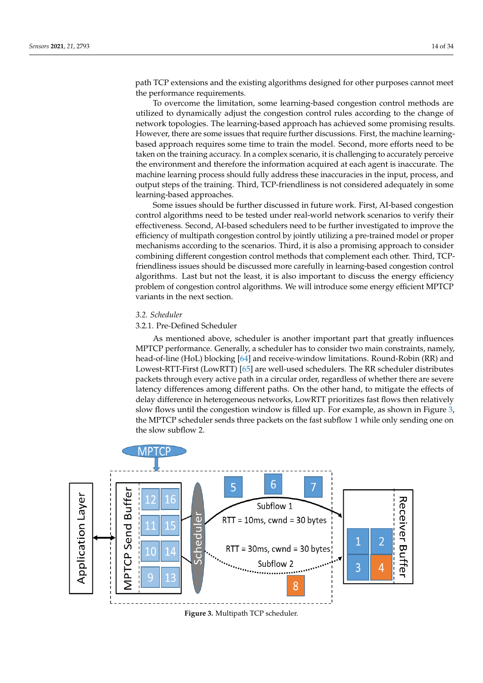path TCP extensions and the existing algorithms designed for other purposes cannot meet the performance requirements.

To overcome the limitation, some learning-based congestion control methods are utilized to dynamically adjust the congestion control rules according to the change of network topologies. The learning-based approach has achieved some promising results. However, there are some issues that require further discussions. First, the machine learningbased approach requires some time to train the model. Second, more efforts need to be taken on the training accuracy. In a complex scenario, it is challenging to accurately perceive the environment and therefore the information acquired at each agent is inaccurate. The machine learning process should fully address these inaccuracies in the input, process, and output steps of the training. Third, TCP-friendliness is not considered adequately in some learning-based approaches.

Some issues should be further discussed in future work. First, AI-based congestion control algorithms need to be tested under real-world network scenarios to verify their effectiveness. Second, AI-based schedulers need to be further investigated to improve the efficiency of multipath congestion control by jointly utilizing a pre-trained model or proper mechanisms according to the scenarios. Third, it is also a promising approach to consider combining different congestion control methods that complement each other. Third, TCPfriendliness issues should be discussed more carefully in learning-based congestion control algorithms. Last but not the least, it is also important to discuss the energy efficiency problem of congestion control algorithms. We will introduce some energy efficient MPTCP variants in the next section.

# *3.2. Scheduler*

## 3.2.1. Pre-Defined Scheduler

As mentioned above, scheduler is another important part that greatly influences MPTCP performance. Generally, a scheduler has to consider two main constraints, namely, head-of-line (HoL) blocking [\[64\]](#page-30-24) and receive-window limitations. Round-Robin (RR) and Lowest-RTT-First (LowRTT) [\[65\]](#page-30-25) are well-used schedulers. The RR scheduler distributes packets through every active path in a circular order, regardless of whether there are severe latency differences among different paths. On the other hand, to mitigate the effects of delay difference in heterogeneous networks, LowRTT prioritizes fast flows then relatively slow flows until the congestion window is filled up. For example, as shown in Figure [3,](#page-13-0) the MPTCP scheduler sends three packets on the fast subflow 1 while only sending one on the slow subflow 2.

<span id="page-13-0"></span>

**Figure 3.** Multipath TCP scheduler.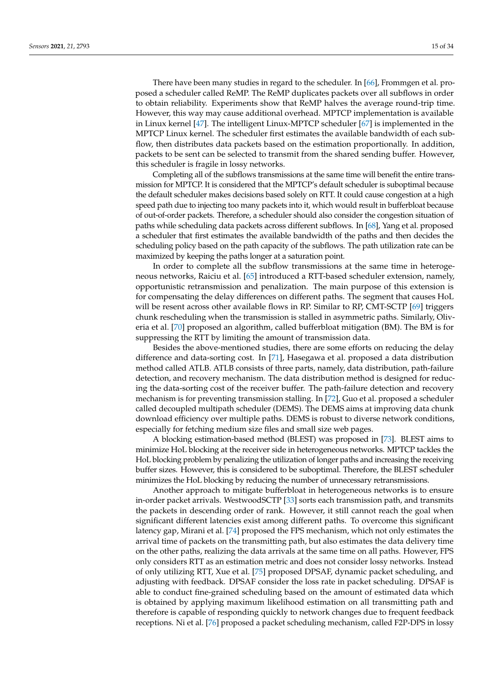There have been many studies in regard to the scheduler. In [\[66\]](#page-31-0), Frommgen et al. proposed a scheduler called ReMP. The ReMP duplicates packets over all subflows in order to obtain reliability. Experiments show that ReMP halves the average round-trip time. However, this way may cause additional overhead. MPTCP implementation is available in Linux kernel [\[47\]](#page-30-7). The intelligent Linux-MPTCP scheduler [\[67\]](#page-31-1) is implemented in the MPTCP Linux kernel. The scheduler first estimates the available bandwidth of each subflow, then distributes data packets based on the estimation proportionally. In addition, packets to be sent can be selected to transmit from the shared sending buffer. However, this scheduler is fragile in lossy networks.

Completing all of the subflows transmissions at the same time will benefit the entire transmission for MPTCP. It is considered that the MPTCP's default scheduler is suboptimal because the default scheduler makes decisions based solely on RTT. It could cause congestion at a high speed path due to injecting too many packets into it, which would result in bufferbloat because of out-of-order packets. Therefore, a scheduler should also consider the congestion situation of paths while scheduling data packets across different subflows. In [\[68\]](#page-31-2), Yang et al. proposed a scheduler that first estimates the available bandwidth of the paths and then decides the scheduling policy based on the path capacity of the subflows. The path utilization rate can be maximized by keeping the paths longer at a saturation point.

In order to complete all the subflow transmissions at the same time in heterogeneous networks, Raiciu et al. [\[65\]](#page-30-25) introduced a RTT-based scheduler extension, namely, opportunistic retransmission and penalization. The main purpose of this extension is for compensating the delay differences on different paths. The segment that causes HoL will be resent across other available flows in RP. Similar to RP, CMT-SCTP [\[69\]](#page-31-3) triggers chunk rescheduling when the transmission is stalled in asymmetric paths. Similarly, Oliveria et al. [\[70\]](#page-31-4) proposed an algorithm, called bufferbloat mitigation (BM). The BM is for suppressing the RTT by limiting the amount of transmission data.

Besides the above-mentioned studies, there are some efforts on reducing the delay difference and data-sorting cost. In [\[71\]](#page-31-5), Hasegawa et al. proposed a data distribution method called ATLB. ATLB consists of three parts, namely, data distribution, path-failure detection, and recovery mechanism. The data distribution method is designed for reducing the data-sorting cost of the receiver buffer. The path-failure detection and recovery mechanism is for preventing transmission stalling. In [\[72\]](#page-31-6), Guo et al. proposed a scheduler called decoupled multipath scheduler (DEMS). The DEMS aims at improving data chunk download efficiency over multiple paths. DEMS is robust to diverse network conditions, especially for fetching medium size files and small size web pages.

A blocking estimation-based method (BLEST) was proposed in [\[73\]](#page-31-7). BLEST aims to minimize HoL blocking at the receiver side in heterogeneous networks. MPTCP tackles the HoL blocking problem by penalizing the utilization of longer paths and increasing the receiving buffer sizes. However, this is considered to be suboptimal. Therefore, the BLEST scheduler minimizes the HoL blocking by reducing the number of unnecessary retransmissions.

Another approach to mitigate bufferbloat in heterogeneous networks is to ensure in-order packet arrivals. WestwoodSCTP [\[33\]](#page-29-21) sorts each transmission path, and transmits the packets in descending order of rank. However, it still cannot reach the goal when significant different latencies exist among different paths. To overcome this significant latency gap, Mirani et al. [\[74\]](#page-31-8) proposed the FPS mechanism, which not only estimates the arrival time of packets on the transmitting path, but also estimates the data delivery time on the other paths, realizing the data arrivals at the same time on all paths. However, FPS only considers RTT as an estimation metric and does not consider lossy networks. Instead of only utilizing RTT, Xue et al. [\[75\]](#page-31-9) proposed DPSAF, dynamic packet scheduling, and adjusting with feedback. DPSAF consider the loss rate in packet scheduling. DPSAF is able to conduct fine-grained scheduling based on the amount of estimated data which is obtained by applying maximum likelihood estimation on all transmitting path and therefore is capable of responding quickly to network changes due to frequent feedback receptions. Ni et al. [\[76\]](#page-31-10) proposed a packet scheduling mechanism, called F2P-DPS in lossy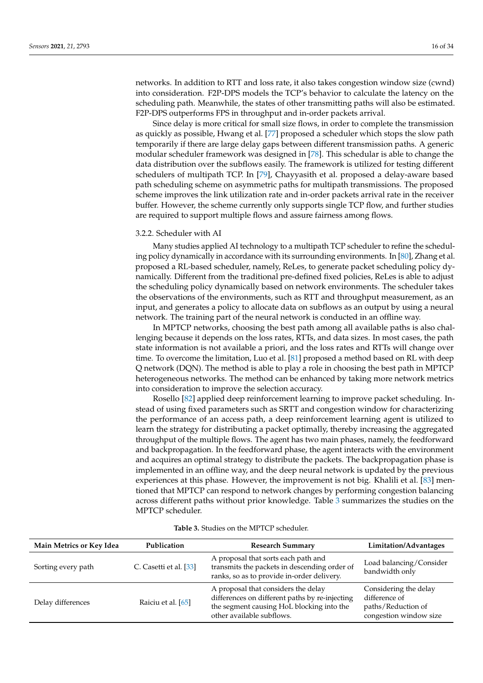networks. In addition to RTT and loss rate, it also takes congestion window size (cwnd) into consideration. F2P-DPS models the TCP's behavior to calculate the latency on the scheduling path. Meanwhile, the states of other transmitting paths will also be estimated. F2P-DPS outperforms FPS in throughput and in-order packets arrival.

Since delay is more critical for small size flows, in order to complete the transmission as quickly as possible, Hwang et al. [\[77\]](#page-31-11) proposed a scheduler which stops the slow path temporarily if there are large delay gaps between different transmission paths. A generic modular scheduler framework was designed in [\[78\]](#page-31-12). This schedular is able to change the data distribution over the subflows easily. The framework is utilized for testing different schedulers of multipath TCP. In [\[79\]](#page-31-13), Chayyasith et al. proposed a delay-aware based path scheduling scheme on asymmetric paths for multipath transmissions. The proposed scheme improves the link utilization rate and in-order packets arrival rate in the receiver buffer. However, the scheme currently only supports single TCP flow, and further studies are required to support multiple flows and assure fairness among flows.

#### 3.2.2. Scheduler with AI

Many studies applied AI technology to a multipath TCP scheduler to refine the scheduling policy dynamically in accordance with its surrounding environments. In [\[80\]](#page-31-14), Zhang et al. proposed a RL-based scheduler, namely, ReLes, to generate packet scheduling policy dynamically. Different from the traditional pre-defined fixed policies, ReLes is able to adjust the scheduling policy dynamically based on network environments. The scheduler takes the observations of the environments, such as RTT and throughput measurement, as an input, and generates a policy to allocate data on subflows as an output by using a neural network. The training part of the neural network is conducted in an offline way.

In MPTCP networks, choosing the best path among all available paths is also challenging because it depends on the loss rates, RTTs, and data sizes. In most cases, the path state information is not available a priori, and the loss rates and RTTs will change over time. To overcome the limitation, Luo et al. [\[81\]](#page-31-15) proposed a method based on RL with deep Q network (DQN). The method is able to play a role in choosing the best path in MPTCP heterogeneous networks. The method can be enhanced by taking more network metrics into consideration to improve the selection accuracy.

Rosello [\[82\]](#page-31-16) applied deep reinforcement learning to improve packet scheduling. Instead of using fixed parameters such as SRTT and congestion window for characterizing the performance of an access path, a deep reinforcement learning agent is utilized to learn the strategy for distributing a packet optimally, thereby increasing the aggregated throughput of the multiple flows. The agent has two main phases, namely, the feedforward and backpropagation. In the feedforward phase, the agent interacts with the environment and acquires an optimal strategy to distribute the packets. The backpropagation phase is implemented in an offline way, and the deep neural network is updated by the previous experiences at this phase. However, the improvement is not big. Khalili et al. [\[83\]](#page-31-17) mentioned that MPTCP can respond to network changes by performing congestion balancing across different paths without prior knowledge. Table [3](#page-17-0) summarizes the studies on the MPTCP scheduler.

| Main Metrics or Key Idea | Publication            | <b>Research Summary</b>                                                                                                                                         | Limitation/Advantages                                                                  |
|--------------------------|------------------------|-----------------------------------------------------------------------------------------------------------------------------------------------------------------|----------------------------------------------------------------------------------------|
| Sorting every path       | C. Casetti et al. [33] | A proposal that sorts each path and<br>transmits the packets in descending order of<br>ranks, so as to provide in-order delivery.                               | Load balancing/Consider<br>bandwidth only                                              |
| Delay differences        | Raiciu et al. [65]     | A proposal that considers the delay<br>differences on different paths by re-injecting<br>the segment causing HoL blocking into the<br>other available subflows. | Considering the delay<br>difference of<br>paths/Reduction of<br>congestion window size |

**Table 3.** Studies on the MPTCP scheduler.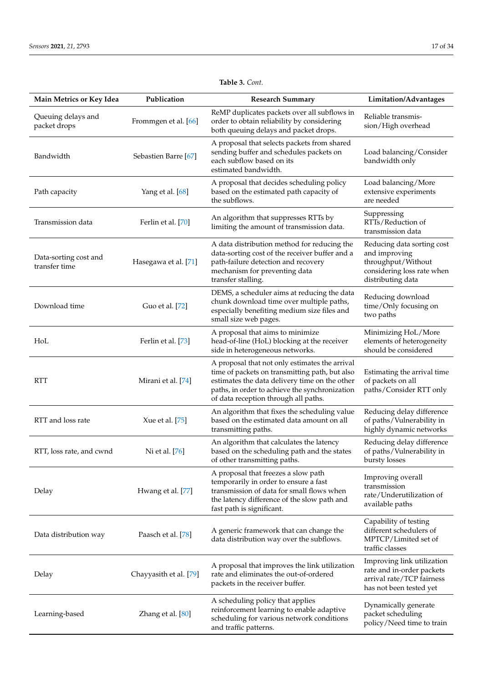| Main Metrics or Key Idea               | Publication            | <b>Research Summary</b>                                                                                                                                                                                                                     | Limitation/Advantages                                                                                                |
|----------------------------------------|------------------------|---------------------------------------------------------------------------------------------------------------------------------------------------------------------------------------------------------------------------------------------|----------------------------------------------------------------------------------------------------------------------|
| Queuing delays and<br>packet drops     | Frommgen et al. [66]   | ReMP duplicates packets over all subflows in<br>order to obtain reliability by considering<br>both queuing delays and packet drops.                                                                                                         | Reliable transmis-<br>sion/High overhead                                                                             |
| Bandwidth                              | Sebastien Barre [67]   | A proposal that selects packets from shared<br>sending buffer and schedules packets on<br>each subflow based on its<br>estimated bandwidth.                                                                                                 | Load balancing/Consider<br>bandwidth only                                                                            |
| Path capacity                          | Yang et al. [68]       | A proposal that decides scheduling policy<br>based on the estimated path capacity of<br>the subflows.                                                                                                                                       | Load balancing/More<br>extensive experiments<br>are needed                                                           |
| Transmission data                      | Ferlin et al. [70]     | An algorithm that suppresses RTTs by<br>limiting the amount of transmission data.                                                                                                                                                           | Suppressing<br>RTTs/Reduction of<br>transmission data                                                                |
| Data-sorting cost and<br>transfer time | Hasegawa et al. [71]   | A data distribution method for reducing the<br>data-sorting cost of the receiver buffer and a<br>path-failure detection and recovery<br>mechanism for preventing data<br>transfer stalling.                                                 | Reducing data sorting cost<br>and improving<br>throughput/Without<br>considering loss rate when<br>distributing data |
| Download time                          | Guo et al. [72]        | DEMS, a scheduler aims at reducing the data<br>chunk download time over multiple paths,<br>especially benefiting medium size files and<br>small size web pages.                                                                             | Reducing download<br>time/Only focusing on<br>two paths                                                              |
| HoL                                    | Ferlin et al. [73]     | A proposal that aims to minimize<br>head-of-line (HoL) blocking at the receiver<br>side in heterogeneous networks.                                                                                                                          | Minimizing HoL/More<br>elements of heterogeneity<br>should be considered                                             |
| <b>RTT</b>                             | Mirani et al. [74]     | A proposal that not only estimates the arrival<br>time of packets on transmitting path, but also<br>estimates the data delivery time on the other<br>paths, in order to achieve the synchronization<br>of data reception through all paths. | Estimating the arrival time<br>of packets on all<br>paths/Consider RTT only                                          |
| RTT and loss rate                      | Xue et al. [75]        | An algorithm that fixes the scheduling value<br>based on the estimated data amount on all<br>transmitting paths.                                                                                                                            | Reducing delay difference<br>of paths/Vulnerability in<br>highly dynamic networks                                    |
| RTT, loss rate, and cwnd               | Ni et al. [76]         | An algorithm that calculates the latency<br>based on the scheduling path and the states<br>of other transmitting paths.                                                                                                                     | Reducing delay difference<br>of paths/Vulnerability in<br>bursty losses                                              |
| Delay                                  | Hwang et al. [77]      | A proposal that freezes a slow path<br>temporarily in order to ensure a fast<br>transmission of data for small flows when<br>the latency difference of the slow path and<br>fast path is significant.                                       | Improving overall<br>transmission<br>rate/Underutilization of<br>available paths                                     |
| Data distribution way                  | Paasch et al. [78]     | A generic framework that can change the<br>data distribution way over the subflows.                                                                                                                                                         | Capability of testing<br>different schedulers of<br>MPTCP/Limited set of<br>traffic classes                          |
| Delay                                  | Chayyasith et al. [79] | A proposal that improves the link utilization<br>rate and eliminates the out-of-ordered<br>packets in the receiver buffer.                                                                                                                  | Improving link utilization<br>rate and in-order packets<br>arrival rate/TCP fairness<br>has not been tested yet      |
| Learning-based                         | Zhang et al. [80]      | A scheduling policy that applies<br>reinforcement learning to enable adaptive<br>scheduling for various network conditions<br>and traffic patterns.                                                                                         | Dynamically generate<br>packet scheduling<br>policy/Need time to train                                               |

# **Table 3.** *Cont.*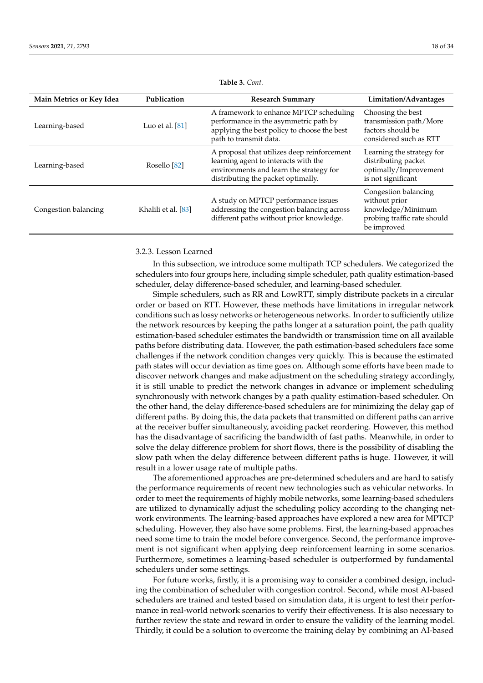<span id="page-17-0"></span>

| Main Metrics or Key Idea | Publication         | <b>Research Summary</b>                                                                                                                                              | Limitation/Advantages                                                                                    |
|--------------------------|---------------------|----------------------------------------------------------------------------------------------------------------------------------------------------------------------|----------------------------------------------------------------------------------------------------------|
| Learning-based           | Luo et al. $[81]$   | A framework to enhance MPTCP scheduling<br>performance in the asymmetric path by<br>applying the best policy to choose the best<br>path to transmit data.            | Choosing the best<br>transmission path/More<br>factors should be<br>considered such as RTT               |
| Learning-based           | Rosello [82]        | A proposal that utilizes deep reinforcement<br>learning agent to interacts with the<br>environments and learn the strategy for<br>distributing the packet optimally. | Learning the strategy for<br>distributing packet<br>optimally/Improvement<br>is not significant          |
| Congestion balancing     | Khalili et al. [83] | A study on MPTCP performance issues<br>addressing the congestion balancing across<br>different paths without prior knowledge.                                        | Congestion balancing<br>without prior<br>knowledge/Minimum<br>probing traffic rate should<br>be improved |

**Table 3.** *Cont.*

# 3.2.3. Lesson Learned

In this subsection, we introduce some multipath TCP schedulers. We categorized the schedulers into four groups here, including simple scheduler, path quality estimation-based scheduler, delay difference-based scheduler, and learning-based scheduler.

Simple schedulers, such as RR and LowRTT, simply distribute packets in a circular order or based on RTT. However, these methods have limitations in irregular network conditions such as lossy networks or heterogeneous networks. In order to sufficiently utilize the network resources by keeping the paths longer at a saturation point, the path quality estimation-based scheduler estimates the bandwidth or transmission time on all available paths before distributing data. However, the path estimation-based schedulers face some challenges if the network condition changes very quickly. This is because the estimated path states will occur deviation as time goes on. Although some efforts have been made to discover network changes and make adjustment on the scheduling strategy accordingly, it is still unable to predict the network changes in advance or implement scheduling synchronously with network changes by a path quality estimation-based scheduler. On the other hand, the delay difference-based schedulers are for minimizing the delay gap of different paths. By doing this, the data packets that transmitted on different paths can arrive at the receiver buffer simultaneously, avoiding packet reordering. However, this method has the disadvantage of sacrificing the bandwidth of fast paths. Meanwhile, in order to solve the delay difference problem for short flows, there is the possibility of disabling the slow path when the delay difference between different paths is huge. However, it will result in a lower usage rate of multiple paths.

The aforementioned approaches are pre-determined schedulers and are hard to satisfy the performance requirements of recent new technologies such as vehicular networks. In order to meet the requirements of highly mobile networks, some learning-based schedulers are utilized to dynamically adjust the scheduling policy according to the changing network environments. The learning-based approaches have explored a new area for MPTCP scheduling. However, they also have some problems. First, the learning-based approaches need some time to train the model before convergence. Second, the performance improvement is not significant when applying deep reinforcement learning in some scenarios. Furthermore, sometimes a learning-based scheduler is outperformed by fundamental schedulers under some settings.

For future works, firstly, it is a promising way to consider a combined design, including the combination of scheduler with congestion control. Second, while most AI-based schedulers are trained and tested based on simulation data, it is urgent to test their performance in real-world network scenarios to verify their effectiveness. It is also necessary to further review the state and reward in order to ensure the validity of the learning model. Thirdly, it could be a solution to overcome the training delay by combining an AI-based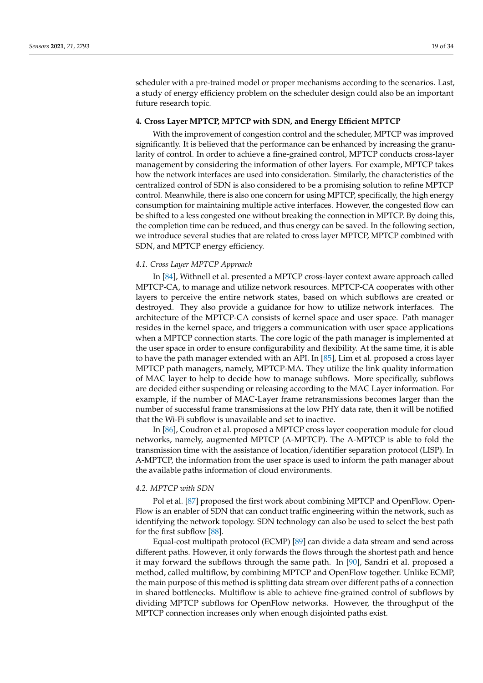scheduler with a pre-trained model or proper mechanisms according to the scenarios. Last, a study of energy efficiency problem on the scheduler design could also be an important future research topic.

#### <span id="page-18-0"></span>**4. Cross Layer MPTCP, MPTCP with SDN, and Energy Efficient MPTCP**

With the improvement of congestion control and the scheduler, MPTCP was improved significantly. It is believed that the performance can be enhanced by increasing the granularity of control. In order to achieve a fine-grained control, MPTCP conducts cross-layer management by considering the information of other layers. For example, MPTCP takes how the network interfaces are used into consideration. Similarly, the characteristics of the centralized control of SDN is also considered to be a promising solution to refine MPTCP control. Meanwhile, there is also one concern for using MPTCP, specifically, the high energy consumption for maintaining multiple active interfaces. However, the congested flow can be shifted to a less congested one without breaking the connection in MPTCP. By doing this, the completion time can be reduced, and thus energy can be saved. In the following section, we introduce several studies that are related to cross layer MPTCP, MPTCP combined with SDN, and MPTCP energy efficiency.

# *4.1. Cross Layer MPTCP Approach*

In [\[84\]](#page-31-18), Withnell et al. presented a MPTCP cross-layer context aware approach called MPTCP-CA, to manage and utilize network resources. MPTCP-CA cooperates with other layers to perceive the entire network states, based on which subflows are created or destroyed. They also provide a guidance for how to utilize network interfaces. The architecture of the MPTCP-CA consists of kernel space and user space. Path manager resides in the kernel space, and triggers a communication with user space applications when a MPTCP connection starts. The core logic of the path manager is implemented at the user space in order to ensure configurability and flexibility. At the same time, it is able to have the path manager extended with an API. In [\[85\]](#page-31-19), Lim et al. proposed a cross layer MPTCP path managers, namely, MPTCP-MA. They utilize the link quality information of MAC layer to help to decide how to manage subflows. More specifically, subflows are decided either suspending or releasing according to the MAC Layer information. For example, if the number of MAC-Layer frame retransmissions becomes larger than the number of successful frame transmissions at the low PHY data rate, then it will be notified that the Wi-Fi subflow is unavailable and set to inactive.

In [\[86\]](#page-31-20), Coudron et al. proposed a MPTCP cross layer cooperation module for cloud networks, namely, augmented MPTCP (A-MPTCP). The A-MPTCP is able to fold the transmission time with the assistance of location/identifier separation protocol (LISP). In A-MPTCP, the information from the user space is used to inform the path manager about the available paths information of cloud environments.

#### *4.2. MPTCP with SDN*

Pol et al. [\[87\]](#page-31-21) proposed the first work about combining MPTCP and OpenFlow. Open-Flow is an enabler of SDN that can conduct traffic engineering within the network, such as identifying the network topology. SDN technology can also be used to select the best path for the first subflow [\[88\]](#page-31-22).

Equal-cost multipath protocol (ECMP) [\[89\]](#page-31-23) can divide a data stream and send across different paths. However, it only forwards the flows through the shortest path and hence it may forward the subflows through the same path. In [\[90\]](#page-32-0), Sandri et al. proposed a method, called multiflow, by combining MPTCP and OpenFlow together. Unlike ECMP, the main purpose of this method is splitting data stream over different paths of a connection in shared bottlenecks. Multiflow is able to achieve fine-grained control of subflows by dividing MPTCP subflows for OpenFlow networks. However, the throughput of the MPTCP connection increases only when enough disjointed paths exist.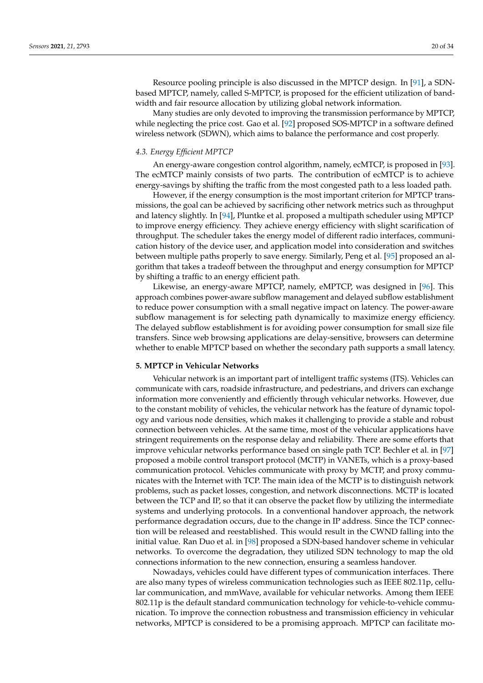Resource pooling principle is also discussed in the MPTCP design. In [\[91\]](#page-32-1), a SDNbased MPTCP, namely, called S-MPTCP, is proposed for the efficient utilization of bandwidth and fair resource allocation by utilizing global network information.

Many studies are only devoted to improving the transmission performance by MPTCP, while neglecting the price cost. Gao et al. [\[92\]](#page-32-2) proposed SOS-MPTCP in a software defined wireless network (SDWN), which aims to balance the performance and cost properly.

#### *4.3. Energy Efficient MPTCP*

An energy-aware congestion control algorithm, namely, ecMTCP, is proposed in [\[93\]](#page-32-3). The ecMTCP mainly consists of two parts. The contribution of ecMTCP is to achieve energy-savings by shifting the traffic from the most congested path to a less loaded path.

However, if the energy consumption is the most important criterion for MPTCP transmissions, the goal can be achieved by sacrificing other network metrics such as throughput and latency slightly. In [\[94\]](#page-32-4), Pluntke et al. proposed a multipath scheduler using MPTCP to improve energy efficiency. They achieve energy efficiency with slight scarification of throughput. The scheduler takes the energy model of different radio interfaces, communication history of the device user, and application model into consideration and switches between multiple paths properly to save energy. Similarly, Peng et al. [\[95\]](#page-32-5) proposed an algorithm that takes a tradeoff between the throughput and energy consumption for MPTCP by shifting a traffic to an energy efficient path.

Likewise, an energy-aware MPTCP, namely, eMPTCP, was designed in [\[96\]](#page-32-6). This approach combines power-aware subflow management and delayed subflow establishment to reduce power consumption with a small negative impact on latency. The power-aware subflow management is for selecting path dynamically to maximize energy efficiency. The delayed subflow establishment is for avoiding power consumption for small size file transfers. Since web browsing applications are delay-sensitive, browsers can determine whether to enable MPTCP based on whether the secondary path supports a small latency.

#### <span id="page-19-0"></span>**5. MPTCP in Vehicular Networks**

Vehicular network is an important part of intelligent traffic systems (ITS). Vehicles can communicate with cars, roadside infrastructure, and pedestrians, and drivers can exchange information more conveniently and efficiently through vehicular networks. However, due to the constant mobility of vehicles, the vehicular network has the feature of dynamic topology and various node densities, which makes it challenging to provide a stable and robust connection between vehicles. At the same time, most of the vehicular applications have stringent requirements on the response delay and reliability. There are some efforts that improve vehicular networks performance based on single path TCP. Bechler et al. in [\[97\]](#page-32-7) proposed a mobile control transport protocol (MCTP) in VANETs, which is a proxy-based communication protocol. Vehicles communicate with proxy by MCTP, and proxy communicates with the Internet with TCP. The main idea of the MCTP is to distinguish network problems, such as packet losses, congestion, and network disconnections. MCTP is located between the TCP and IP, so that it can observe the packet flow by utilizing the intermediate systems and underlying protocols. In a conventional handover approach, the network performance degradation occurs, due to the change in IP address. Since the TCP connection will be released and reestablished. This would result in the CWND falling into the initial value. Ran Duo et al. in [\[98\]](#page-32-8) proposed a SDN-based handover scheme in vehicular networks. To overcome the degradation, they utilized SDN technology to map the old connections information to the new connection, ensuring a seamless handover.

Nowadays, vehicles could have different types of communication interfaces. There are also many types of wireless communication technologies such as IEEE 802.11p, cellular communication, and mmWave, available for vehicular networks. Among them IEEE 802.11p is the default standard communication technology for vehicle-to-vehicle communication. To improve the connection robustness and transmission efficiency in vehicular networks, MPTCP is considered to be a promising approach. MPTCP can facilitate mo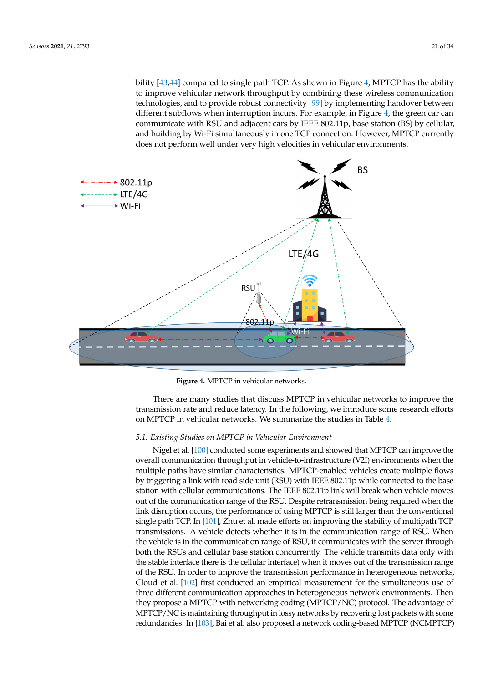bility [\[43](#page-30-3)[,44\]](#page-30-4) compared to single path TCP. As shown in Figure [4,](#page-20-0) MPTCP has the ability to improve vehicular network throughput by combining these wireless communication technologies, and to provide robust connectivity [\[99\]](#page-32-9) by implementing handover between different subflows when interruption incurs. For example, in Figure [4,](#page-20-0) the green car can communicate with RSU and adjacent cars by IEEE 802.11p, base station (BS) by cellular, and building by Wi-Fi simultaneously in one TCP connection. However, MPTCP currently does not perform well under very high velocities in vehicular environments.

<span id="page-20-0"></span>

**Figure 4.** MPTCP in vehicular networks.

There are many studies that discuss MPTCP in vehicular networks to improve the transmission rate and reduce latency. In the following, we introduce some research efforts on MPTCP in vehicular networks. We summarize the studies in Table [4.](#page-21-0)

# *5.1. Existing Studies on MPTCP in Vehicular Environment*

Nigel et al. [\[100\]](#page-32-10) conducted some experiments and showed that MPTCP can improve the overall communication throughput in vehicle-to-infrastructure (V2I) environments when the multiple paths have similar characteristics. MPTCP-enabled vehicles create multiple flows by triggering a link with road side unit (RSU) with IEEE 802.11p while connected to the base station with cellular communications. The IEEE 802.11p link will break when vehicle moves out of the communication range of the RSU. Despite retransmission being required when the link disruption occurs, the performance of using MPTCP is still larger than the conventional single path TCP. In [\[101\]](#page-32-11), Zhu et al. made efforts on improving the stability of multipath TCP transmissions. A vehicle detects whether it is in the communication range of RSU. When the vehicle is in the communication range of RSU, it communicates with the server through both the RSUs and cellular base station concurrently. The vehicle transmits data only with the stable interface (here is the cellular interface) when it moves out of the transmission range of the RSU. In order to improve the transmission performance in heterogeneous networks, Cloud et al. [\[102\]](#page-32-12) first conducted an empirical measurement for the simultaneous use of three different communication approaches in heterogeneous network environments. Then they propose a MPTCP with networking coding (MPTCP/NC) protocol. The advantage of MPTCP/NC is maintaining throughput in lossy networks by recovering lost packets with some redundancies. In [\[103\]](#page-32-13), Bai et al. also proposed a network coding-based MPTCP (NCMPTCP)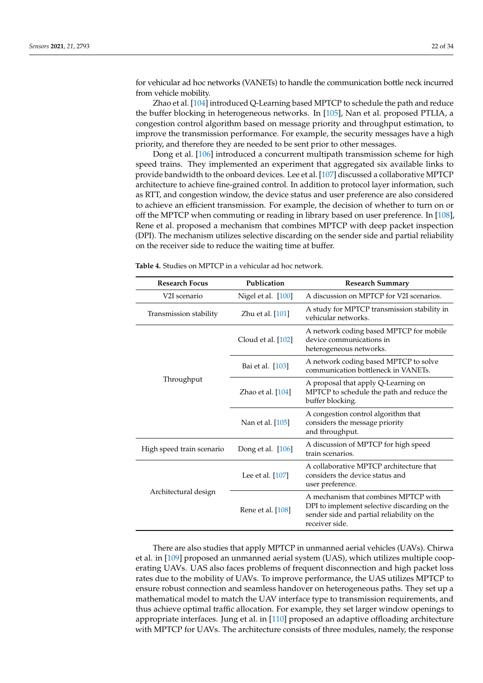for vehicular ad hoc networks (VANETs) to handle the communication bottle neck incurred from vehicle mobility.

Zhao et al. [\[104\]](#page-32-14) introduced Q-Learning based MPTCP to schedule the path and reduce the buffer blocking in heterogeneous networks. In [\[105\]](#page-32-15), Nan et al. proposed PTLIA, a congestion control algorithm based on message priority and throughput estimation, to improve the transmission performance. For example, the security messages have a high priority, and therefore they are needed to be sent prior to other messages.

Dong et al. [\[106\]](#page-32-16) introduced a concurrent multipath transmission scheme for high speed trains. They implemented an experiment that aggregated six available links to provide bandwidth to the onboard devices. Lee et al. [\[107\]](#page-32-17) discussed a collaborative MPTCP architecture to achieve fine-grained control. In addition to protocol layer information, such as RTT, and congestion window, the device status and user preference are also considered to achieve an efficient transmission. For example, the decision of whether to turn on or off the MPTCP when commuting or reading in library based on user preference. In [\[108\]](#page-32-18), Rene et al. proposed a mechanism that combines MPTCP with deep packet inspection (DPI). The mechanism utilizes selective discarding on the sender side and partial reliability on the receiver side to reduce the waiting time at buffer.

| Publication<br><b>Research Focus</b> |                    | <b>Research Summary</b>                                                                                                                              |  |  |
|--------------------------------------|--------------------|------------------------------------------------------------------------------------------------------------------------------------------------------|--|--|
| V2I scenario                         | Nigel et al. [100] | A discussion on MPTCP for V2I scenarios.                                                                                                             |  |  |
| Transmission stability               | Zhu et al. [101]   | A study for MPTCP transmission stability in<br>vehicular networks.                                                                                   |  |  |
|                                      | Cloud et al. [102] | A network coding based MPTCP for mobile<br>device communications in<br>heterogeneous networks.                                                       |  |  |
|                                      | Bai et al. [103]   | A network coding based MPTCP to solve<br>communication bottleneck in VANETs.                                                                         |  |  |
| Throughput                           | Zhao et al. [104]  | A proposal that apply Q-Learning on<br>MPTCP to schedule the path and reduce the<br>buffer blocking.                                                 |  |  |
|                                      | Nan et al. [105]   | A congestion control algorithm that<br>considers the message priority<br>and throughput.                                                             |  |  |
| High speed train scenario            | Dong et al. [106]  | A discussion of MPTCP for high speed<br>train scenarios.                                                                                             |  |  |
|                                      | Lee et al. [107]   | A collaborative MPTCP architecture that<br>considers the device status and<br>user preference.                                                       |  |  |
| Architectural design                 | Rene et al. [108]  | A mechanism that combines MPTCP with<br>DPI to implement selective discarding on the<br>sender side and partial reliability on the<br>receiver side. |  |  |

<span id="page-21-0"></span>**Table 4.** Studies on MPTCP in a vehicular ad hoc network.

There are also studies that apply MPTCP in unmanned aerial vehicles (UAVs). Chirwa et al. in [\[109\]](#page-32-19) proposed an unmanned aerial system (UAS), which utilizes multiple cooperating UAVs. UAS also faces problems of frequent disconnection and high packet loss rates due to the mobility of UAVs. To improve performance, the UAS utilizes MPTCP to ensure robust connection and seamless handover on heterogeneous paths. They set up a mathematical model to match the UAV interface type to transmission requirements, and thus achieve optimal traffic allocation. For example, they set larger window openings to appropriate interfaces. Jung et al. in [\[110\]](#page-32-20) proposed an adaptive offloading architecture with MPTCP for UAVs. The architecture consists of three modules, namely, the response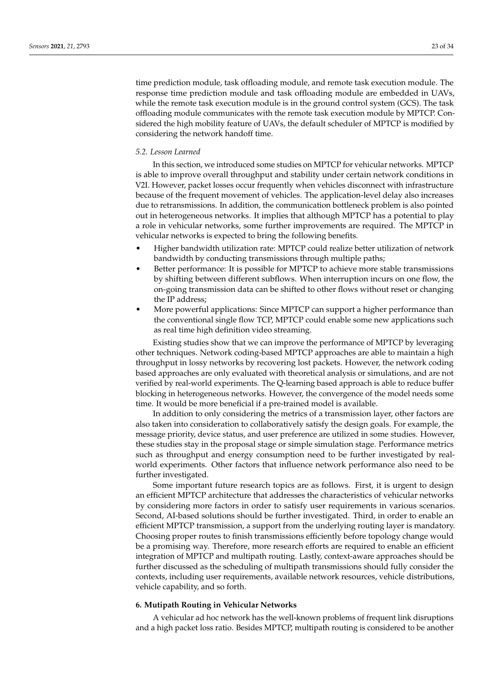time prediction module, task offloading module, and remote task execution module. The response time prediction module and task offloading module are embedded in UAVs, while the remote task execution module is in the ground control system (GCS). The task offloading module communicates with the remote task execution module by MPTCP. Considered the high mobility feature of UAVs, the default scheduler of MPTCP is modified by considering the network handoff time.

# *5.2. Lesson Learned*

In this section, we introduced some studies on MPTCP for vehicular networks. MPTCP is able to improve overall throughput and stability under certain network conditions in V2I. However, packet losses occur frequently when vehicles disconnect with infrastructure because of the frequent movement of vehicles. The application-level delay also increases due to retransmissions. In addition, the communication bottleneck problem is also pointed out in heterogeneous networks. It implies that although MPTCP has a potential to play a role in vehicular networks, some further improvements are required. The MPTCP in vehicular networks is expected to bring the following benefits.

- Higher bandwidth utilization rate: MPTCP could realize better utilization of network bandwidth by conducting transmissions through multiple paths;
- Better performance: It is possible for MPTCP to achieve more stable transmissions by shifting between different subflows. When interruption incurs on one flow, the on-going transmission data can be shifted to other flows without reset or changing the IP address;
- More powerful applications: Since MPTCP can support a higher performance than the conventional single flow TCP, MPTCP could enable some new applications such as real time high definition video streaming.

Existing studies show that we can improve the performance of MPTCP by leveraging other techniques. Network coding-based MPTCP approaches are able to maintain a high throughput in lossy networks by recovering lost packets. However, the network coding based approaches are only evaluated with theoretical analysis or simulations, and are not verified by real-world experiments. The Q-learning based approach is able to reduce buffer blocking in heterogeneous networks. However, the convergence of the model needs some time. It would be more beneficial if a pre-trained model is available.

In addition to only considering the metrics of a transmission layer, other factors are also taken into consideration to collaboratively satisfy the design goals. For example, the message priority, device status, and user preference are utilized in some studies. However, these studies stay in the proposal stage or simple simulation stage. Performance metrics such as throughput and energy consumption need to be further investigated by realworld experiments. Other factors that influence network performance also need to be further investigated.

Some important future research topics are as follows. First, it is urgent to design an efficient MPTCP architecture that addresses the characteristics of vehicular networks by considering more factors in order to satisfy user requirements in various scenarios. Second, AI-based solutions should be further investigated. Third, in order to enable an efficient MPTCP transmission, a support from the underlying routing layer is mandatory. Choosing proper routes to finish transmissions efficiently before topology change would be a promising way. Therefore, more research efforts are required to enable an efficient integration of MPTCP and multipath routing. Lastly, context-aware approaches should be further discussed as the scheduling of multipath transmissions should fully consider the contexts, including user requirements, available network resources, vehicle distributions, vehicle capability, and so forth.

# <span id="page-22-0"></span>**6. Mutipath Routing in Vehicular Networks**

A vehicular ad hoc network has the well-known problems of frequent link disruptions and a high packet loss ratio. Besides MPTCP, multipath routing is considered to be another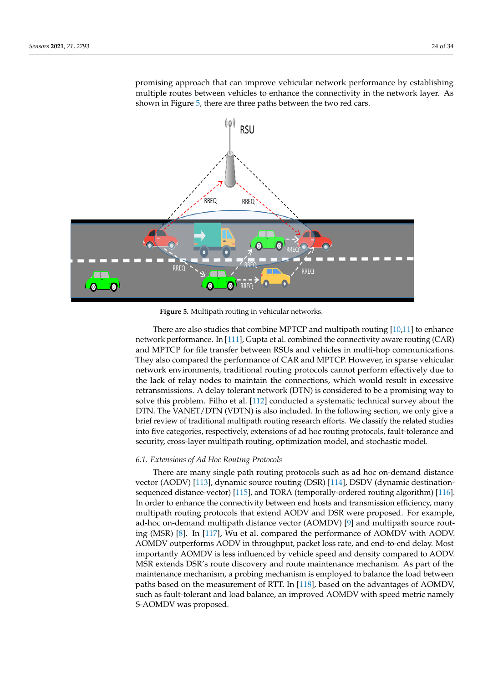promising approach that can improve vehicular network performance by establishing multiple routes between vehicles to enhance the connectivity in the network layer. As shown in Figure [5,](#page-23-0) there are three paths between the two red cars.

<span id="page-23-0"></span>

**Figure 5.** Multipath routing in vehicular networks.

There are also studies that combine MPTCP and multipath routing [\[10,](#page-28-9)[11\]](#page-28-10) to enhance network performance. In [\[111\]](#page-32-21), Gupta et al. combined the connectivity aware routing (CAR) and MPTCP for file transfer between RSUs and vehicles in multi-hop communications. They also compared the performance of CAR and MPTCP. However, in sparse vehicular network environments, traditional routing protocols cannot perform effectively due to the lack of relay nodes to maintain the connections, which would result in excessive retransmissions. A delay tolerant network (DTN) is considered to be a promising way to solve this problem. Filho et al. [\[112\]](#page-33-0) conducted a systematic technical survey about the DTN. The VANET/DTN (VDTN) is also included. In the following section, we only give a brief review of traditional multipath routing research efforts. We classify the related studies into five categories, respectively, extensions of ad hoc routing protocols, fault-tolerance and security, cross-layer multipath routing, optimization model, and stochastic model.

# *6.1. Extensions of Ad Hoc Routing Protocols*

There are many single path routing protocols such as ad hoc on-demand distance vector (AODV) [\[113\]](#page-33-1), dynamic source routing (DSR) [\[114\]](#page-33-2), DSDV (dynamic destinationsequenced distance-vector) [\[115\]](#page-33-3), and TORA (temporally-ordered routing algorithm) [\[116\]](#page-33-4). In order to enhance the connectivity between end hosts and transmission efficiency, many multipath routing protocols that extend AODV and DSR were proposed. For example, ad-hoc on-demand multipath distance vector (AOMDV) [\[9\]](#page-28-8) and multipath source routing (MSR) [\[8\]](#page-28-7). In [\[117\]](#page-33-5), Wu et al. compared the performance of AOMDV with AODV. AOMDV outperforms AODV in throughput, packet loss rate, and end-to-end delay. Most importantly AOMDV is less influenced by vehicle speed and density compared to AODV. MSR extends DSR's route discovery and route maintenance mechanism. As part of the maintenance mechanism, a probing mechanism is employed to balance the load between paths based on the measurement of RTT. In [\[118\]](#page-33-6), based on the advantages of AOMDV, such as fault-tolerant and load balance, an improved AOMDV with speed metric namely S-AOMDV was proposed.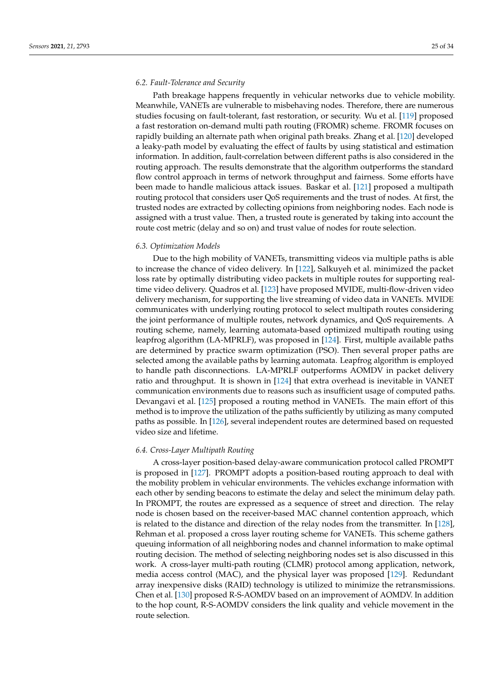# *6.2. Fault-Tolerance and Security*

Path breakage happens frequently in vehicular networks due to vehicle mobility. Meanwhile, VANETs are vulnerable to misbehaving nodes. Therefore, there are numerous studies focusing on fault-tolerant, fast restoration, or security. Wu et al. [\[119\]](#page-33-7) proposed a fast restoration on-demand multi path routing (FROMR) scheme. FROMR focuses on rapidly building an alternate path when original path breaks. Zhang et al. [\[120\]](#page-33-8) developed a leaky-path model by evaluating the effect of faults by using statistical and estimation information. In addition, fault-correlation between different paths is also considered in the routing approach. The results demonstrate that the algorithm outperforms the standard flow control approach in terms of network throughput and fairness. Some efforts have been made to handle malicious attack issues. Baskar et al. [\[121\]](#page-33-9) proposed a multipath routing protocol that considers user QoS requirements and the trust of nodes. At first, the trusted nodes are extracted by collecting opinions from neighboring nodes. Each node is assigned with a trust value. Then, a trusted route is generated by taking into account the route cost metric (delay and so on) and trust value of nodes for route selection.

#### *6.3. Optimization Models*

Due to the high mobility of VANETs, transmitting videos via multiple paths is able to increase the chance of video delivery. In [\[122\]](#page-33-10), Salkuyeh et al. minimized the packet loss rate by optimally distributing video packets in multiple routes for supporting realtime video delivery. Quadros et al. [\[123\]](#page-33-11) have proposed MVIDE, multi-flow-driven video delivery mechanism, for supporting the live streaming of video data in VANETs. MVIDE communicates with underlying routing protocol to select multipath routes considering the joint performance of multiple routes, network dynamics, and QoS requirements. A routing scheme, namely, learning automata-based optimized multipath routing using leapfrog algorithm (LA-MPRLF), was proposed in [\[124\]](#page-33-12). First, multiple available paths are determined by practice swarm optimization (PSO). Then several proper paths are selected among the available paths by learning automata. Leapfrog algorithm is employed to handle path disconnections. LA-MPRLF outperforms AOMDV in packet delivery ratio and throughput. It is shown in [\[124\]](#page-33-12) that extra overhead is inevitable in VANET communication environments due to reasons such as insufficient usage of computed paths. Devangavi et al. [\[125\]](#page-33-13) proposed a routing method in VANETs. The main effort of this method is to improve the utilization of the paths sufficiently by utilizing as many computed paths as possible. In [\[126\]](#page-33-14), several independent routes are determined based on requested video size and lifetime.

#### *6.4. Cross-Layer Multipath Routing*

A cross-layer position-based delay-aware communication protocol called PROMPT is proposed in [\[127\]](#page-33-15). PROMPT adopts a position-based routing approach to deal with the mobility problem in vehicular environments. The vehicles exchange information with each other by sending beacons to estimate the delay and select the minimum delay path. In PROMPT, the routes are expressed as a sequence of street and direction. The relay node is chosen based on the receiver-based MAC channel contention approach, which is related to the distance and direction of the relay nodes from the transmitter. In [\[128\]](#page-33-16), Rehman et al. proposed a cross layer routing scheme for VANETs. This scheme gathers queuing information of all neighboring nodes and channel information to make optimal routing decision. The method of selecting neighboring nodes set is also discussed in this work. A cross-layer multi-path routing (CLMR) protocol among application, network, media access control (MAC), and the physical layer was proposed [\[129\]](#page-33-17). Redundant array inexpensive disks (RAID) technology is utilized to minimize the retransmissions. Chen et al. [\[130\]](#page-33-18) proposed R-S-AOMDV based on an improvement of AOMDV. In addition to the hop count, R-S-AOMDV considers the link quality and vehicle movement in the route selection.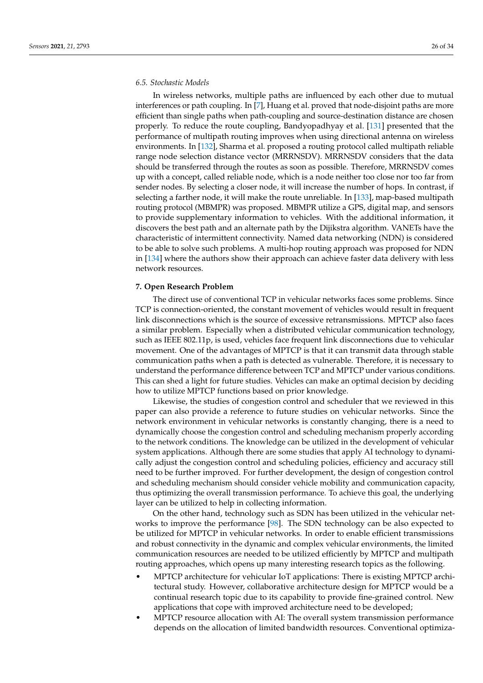# *6.5. Stochastic Models*

In wireless networks, multiple paths are influenced by each other due to mutual interferences or path coupling. In [\[7\]](#page-28-6), Huang et al. proved that node-disjoint paths are more efficient than single paths when path-coupling and source-destination distance are chosen properly. To reduce the route coupling, Bandyopadhyay et al. [\[131\]](#page-33-19) presented that the performance of multipath routing improves when using directional antenna on wireless environments. In [\[132\]](#page-33-20), Sharma et al. proposed a routing protocol called multipath reliable range node selection distance vector (MRRNSDV). MRRNSDV considers that the data should be transferred through the routes as soon as possible. Therefore, MRRNSDV comes up with a concept, called reliable node, which is a node neither too close nor too far from sender nodes. By selecting a closer node, it will increase the number of hops. In contrast, if selecting a farther node, it will make the route unreliable. In [\[133\]](#page-33-21), map-based multipath routing protocol (MBMPR) was proposed. MBMPR utilize a GPS, digital map, and sensors to provide supplementary information to vehicles. With the additional information, it discovers the best path and an alternate path by the Dijikstra algorithm. VANETs have the characteristic of intermittent connectivity. Named data networking (NDN) is considered to be able to solve such problems. A multi-hop routing approach was proposed for NDN in [\[134\]](#page-33-22) where the authors show their approach can achieve faster data delivery with less network resources.

# <span id="page-25-0"></span>**7. Open Research Problem**

The direct use of conventional TCP in vehicular networks faces some problems. Since TCP is connection-oriented, the constant movement of vehicles would result in frequent link disconnections which is the source of excessive retransmissions. MPTCP also faces a similar problem. Especially when a distributed vehicular communication technology, such as IEEE 802.11p, is used, vehicles face frequent link disconnections due to vehicular movement. One of the advantages of MPTCP is that it can transmit data through stable communication paths when a path is detected as vulnerable. Therefore, it is necessary to understand the performance difference between TCP and MPTCP under various conditions. This can shed a light for future studies. Vehicles can make an optimal decision by deciding how to utilize MPTCP functions based on prior knowledge.

Likewise, the studies of congestion control and scheduler that we reviewed in this paper can also provide a reference to future studies on vehicular networks. Since the network environment in vehicular networks is constantly changing, there is a need to dynamically choose the congestion control and scheduling mechanism properly according to the network conditions. The knowledge can be utilized in the development of vehicular system applications. Although there are some studies that apply AI technology to dynamically adjust the congestion control and scheduling policies, efficiency and accuracy still need to be further improved. For further development, the design of congestion control and scheduling mechanism should consider vehicle mobility and communication capacity, thus optimizing the overall transmission performance. To achieve this goal, the underlying layer can be utilized to help in collecting information.

On the other hand, technology such as SDN has been utilized in the vehicular networks to improve the performance [\[98\]](#page-32-8). The SDN technology can be also expected to be utilized for MPTCP in vehicular networks. In order to enable efficient transmissions and robust connectivity in the dynamic and complex vehicular environments, the limited communication resources are needed to be utilized efficiently by MPTCP and multipath routing approaches, which opens up many interesting research topics as the following.

- MPTCP architecture for vehicular IoT applications: There is existing MPTCP architectural study. However, collaborative architecture design for MPTCP would be a continual research topic due to its capability to provide fine-grained control. New applications that cope with improved architecture need to be developed;
- MPTCP resource allocation with AI: The overall system transmission performance depends on the allocation of limited bandwidth resources. Conventional optimiza-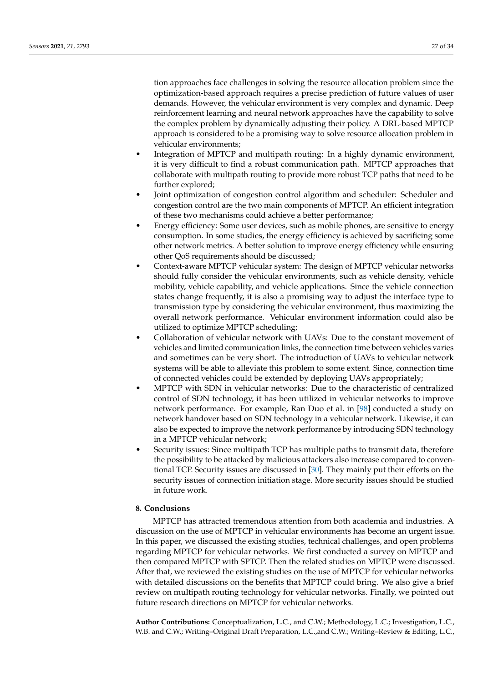tion approaches face challenges in solving the resource allocation problem since the optimization-based approach requires a precise prediction of future values of user demands. However, the vehicular environment is very complex and dynamic. Deep reinforcement learning and neural network approaches have the capability to solve the complex problem by dynamically adjusting their policy. A DRL-based MPTCP approach is considered to be a promising way to solve resource allocation problem in vehicular environments;

- Integration of MPTCP and multipath routing: In a highly dynamic environment, it is very difficult to find a robust communication path. MPTCP approaches that collaborate with multipath routing to provide more robust TCP paths that need to be further explored;
- Joint optimization of congestion control algorithm and scheduler: Scheduler and congestion control are the two main components of MPTCP. An efficient integration of these two mechanisms could achieve a better performance;
- Energy efficiency: Some user devices, such as mobile phones, are sensitive to energy consumption. In some studies, the energy efficiency is achieved by sacrificing some other network metrics. A better solution to improve energy efficiency while ensuring other QoS requirements should be discussed;
- Context-aware MPTCP vehicular system: The design of MPTCP vehicular networks should fully consider the vehicular environments, such as vehicle density, vehicle mobility, vehicle capability, and vehicle applications. Since the vehicle connection states change frequently, it is also a promising way to adjust the interface type to transmission type by considering the vehicular environment, thus maximizing the overall network performance. Vehicular environment information could also be utilized to optimize MPTCP scheduling;
- Collaboration of vehicular network with UAVs: Due to the constant movement of vehicles and limited communication links, the connection time between vehicles varies and sometimes can be very short. The introduction of UAVs to vehicular network systems will be able to alleviate this problem to some extent. Since, connection time of connected vehicles could be extended by deploying UAVs appropriately;
- MPTCP with SDN in vehicular networks: Due to the characteristic of centralized control of SDN technology, it has been utilized in vehicular networks to improve network performance. For example, Ran Duo et al. in [\[98\]](#page-32-8) conducted a study on network handover based on SDN technology in a vehicular network. Likewise, it can also be expected to improve the network performance by introducing SDN technology in a MPTCP vehicular network;
- Security issues: Since multipath TCP has multiple paths to transmit data, therefore the possibility to be attacked by malicious attackers also increase compared to conventional TCP. Security issues are discussed in [\[30\]](#page-29-18). They mainly put their efforts on the security issues of connection initiation stage. More security issues should be studied in future work.

# <span id="page-26-0"></span>**8. Conclusions**

MPTCP has attracted tremendous attention from both academia and industries. A discussion on the use of MPTCP in vehicular environments has become an urgent issue. In this paper, we discussed the existing studies, technical challenges, and open problems regarding MPTCP for vehicular networks. We first conducted a survey on MPTCP and then compared MPTCP with SPTCP. Then the related studies on MPTCP were discussed. After that, we reviewed the existing studies on the use of MPTCP for vehicular networks with detailed discussions on the benefits that MPTCP could bring. We also give a brief review on multipath routing technology for vehicular networks. Finally, we pointed out future research directions on MPTCP for vehicular networks.

**Author Contributions:** Conceptualization, L.C., and C.W.; Methodology, L.C.; Investigation, L.C., W.B. and C.W.; Writing–Original Draft Preparation, L.C.,and C.W.; Writing–Review & Editing, L.C.,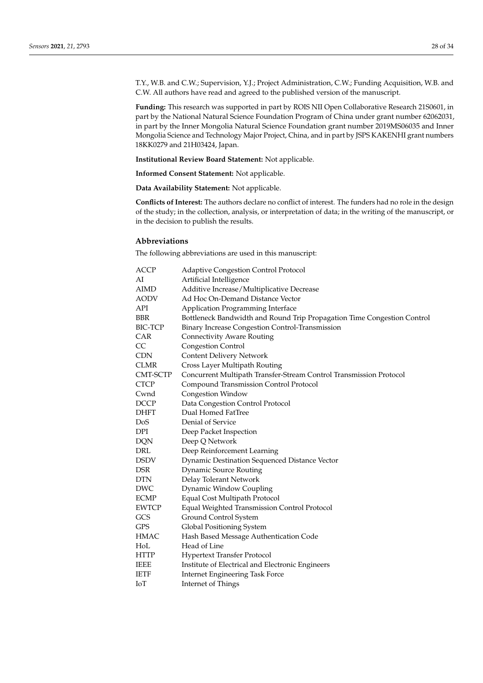T.Y., W.B. and C.W.; Supervision, Y.J.; Project Administration, C.W.; Funding Acquisition, W.B. and C.W. All authors have read and agreed to the published version of the manuscript.

**Funding:** This research was supported in part by ROIS NII Open Collaborative Research 21S0601, in part by the National Natural Science Foundation Program of China under grant number 62062031, in part by the Inner Mongolia Natural Science Foundation grant number 2019MS06035 and Inner Mongolia Science and Technology Major Project, China, and in part by JSPS KAKENHI grant numbers 18KK0279 and 21H03424, Japan.

**Institutional Review Board Statement:** Not applicable.

**Informed Consent Statement:** Not applicable.

**Data Availability Statement:** Not applicable.

**Conflicts of Interest:** The authors declare no conflict of interest. The funders had no role in the design of the study; in the collection, analysis, or interpretation of data; in the writing of the manuscript, or in the decision to publish the results.

#### **Abbreviations**

The following abbreviations are used in this manuscript:

| Bottleneck Bandwidth and Round Trip Propagation Time Congestion Control |
|-------------------------------------------------------------------------|
|                                                                         |
|                                                                         |
|                                                                         |
|                                                                         |
|                                                                         |
|                                                                         |
|                                                                         |
|                                                                         |
|                                                                         |
|                                                                         |
|                                                                         |
|                                                                         |
|                                                                         |
|                                                                         |
|                                                                         |
|                                                                         |
|                                                                         |
|                                                                         |
|                                                                         |
|                                                                         |
|                                                                         |
|                                                                         |
|                                                                         |
|                                                                         |
|                                                                         |
|                                                                         |
|                                                                         |
|                                                                         |
|                                                                         |
|                                                                         |
|                                                                         |
|                                                                         |
|                                                                         |
|                                                                         |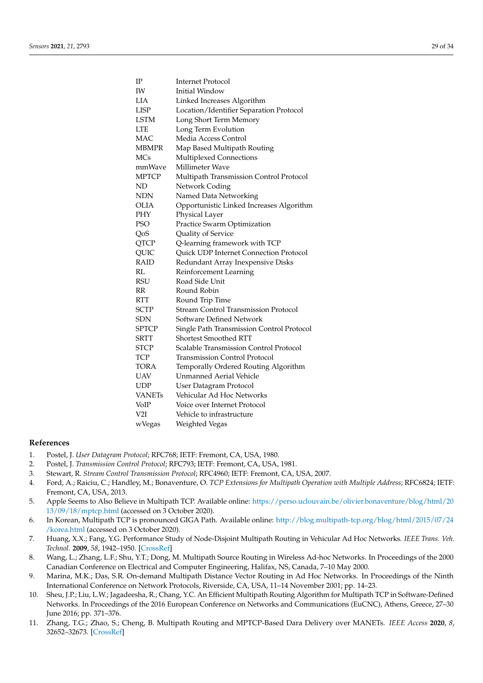| IΡ              | <b>Internet Protocol</b>                    |
|-----------------|---------------------------------------------|
| IW              | <b>Initial Window</b>                       |
| LIA             | Linked Increases Algorithm                  |
| <b>LISP</b>     | Location/Identifier Separation Protocol     |
| <b>LSTM</b>     | Long Short Term Memory                      |
| <b>LTE</b>      | Long Term Evolution                         |
| <b>MAC</b>      | Media Access Control                        |
| <b>MBMPR</b>    | Map Based Multipath Routing                 |
| <b>MCs</b>      | Multiplexed Connections                     |
| mmWave          | Millimeter Wave                             |
| <b>MPTCP</b>    | Multipath Transmission Control Protocol     |
| ND              | Network Coding                              |
| NDN             | Named Data Networking                       |
| OLIA            | Opportunistic Linked Increases Algorithm    |
| PHY             | Physical Layer                              |
| <b>PSO</b>      | Practice Swarm Optimization                 |
| QoS             | Quality of Service                          |
| QTCP            | Q-learning framework with TCP               |
| QUIC            | Quick UDP Internet Connection Protocol      |
| <b>RAID</b>     | Redundant Array Inexpensive Disks           |
| RL              | Reinforcement Learning                      |
| <b>RSU</b>      | Road Side Unit                              |
| RR              | Round Robin                                 |
| <b>RTT</b>      | Round Trip Time                             |
| <b>SCTP</b>     | <b>Stream Control Transmission Protocol</b> |
| SDN             | Software Defined Network                    |
| <b>SPTCP</b>    | Single Path Transmission Control Protocol   |
| <b>SRTT</b>     | <b>Shortest Smoothed RTT</b>                |
| <b>STCP</b>     | Scalable Transmission Control Protocol      |
| TCP             | Transmission Control Protocol               |
| TORA            | Temporally Ordered Routing Algorithm        |
| UAV             | <b>Unmanned Aerial Vehicle</b>              |
| <b>UDP</b>      | <b>User Datagram Protocol</b>               |
| <b>VANETs</b>   | Vehicular Ad Hoc Networks                   |
| VoIP            | Voice over Internet Protocol                |
| V <sub>2I</sub> | Vehicle to infrastructure                   |
| wVegas          | Weighted Vegas                              |

#### **References**

- <span id="page-28-0"></span>1. Postel, J. *User Datagram Protocol*; RFC768; IETF: Fremont, CA, USA, 1980.
- <span id="page-28-1"></span>2. Postel, J. *Transmission Control Protocol*; RFC793; IETF: Fremont, CA, USA, 1981.
- <span id="page-28-2"></span>3. Stewart, R. *Stream Control Transmission Protocol*; RFC4960; IETF: Fremont, CA, USA, 2007.
- <span id="page-28-3"></span>4. Ford, A.; Raiciu, C.; Handley, M.; Bonaventure, O. *TCP Extensions for Multipath Operation with Multiple Address*; RFC6824; IETF: Fremont, CA, USA, 2013.
- <span id="page-28-4"></span>5. Apple Seems to Also Believe in Multipath TCP. Available online: [https://perso.uclouvain.be/olivier.bonaventure/blog/html/20](https://perso.uclouvain.be/ olivier.bonaventure/blog/html/2013/09/18/mptcp.html) [13/09/18/mptcp.html](https://perso.uclouvain.be/ olivier.bonaventure/blog/html/2013/09/18/mptcp.html) (accessed on 3 October 2020).
- <span id="page-28-5"></span>6. In Korean, Multipath TCP is pronounced GIGA Path. Available online: [http://blog.multipath-tcp.org/blog/html/2015/07/24](http://blog.multipath-tcp.org /blog/html/2015/07/24/korea.html) [/korea.html](http://blog.multipath-tcp.org /blog/html/2015/07/24/korea.html) (accessed on 3 October 2020).
- <span id="page-28-6"></span>7. Huang, X.X.; Fang, Y.G. Performance Study of Node-Disjoint Multipath Routing in Vehicular Ad Hoc Networks. *IEEE Trans. Veh. Technol.* **2009**, *58*, 1942–1950. [\[CrossRef\]](http://doi.org/10.1109/TVT.2008.2008094)
- <span id="page-28-7"></span>8. Wang, L.; Zhang, L.F.; Shu, Y.T.; Dong, M. Multipath Source Routing in Wireless Ad-hoc Networks. In Proceedings of the 2000 Canadian Conference on Electrical and Computer Engineering, Halifax, NS, Canada, 7–10 May 2000.
- <span id="page-28-8"></span>9. Marina, M.K.; Das, S.R. On-demand Multipath Distance Vector Routing in Ad Hoc Networks. In Proceedings of the Ninth International Conference on Network Protocols, Riverside, CA, USA, 11–14 November 2001; pp. 14–23.
- <span id="page-28-9"></span>10. Sheu, J.P.; Liu, L.W.; Jagadeesha, R.; Chang, Y.C. An Efficient Multipath Routing Algorithm for Multipath TCP in Software-Defined Networks. In Proceedings of the 2016 European Conference on Networks and Communications (EuCNC), Athens, Greece, 27–30 June 2016; pp. 371–376.
- <span id="page-28-10"></span>11. Zhang, T.G.; Zhao, S.; Cheng, B. Multipath Routing and MPTCP-Based Dara Delivery over MANETs. *IEEE Access* **2020**, *8*, 32652–32673. [\[CrossRef\]](http://dx.doi.org/10.1109/ACCESS.2020.2974191)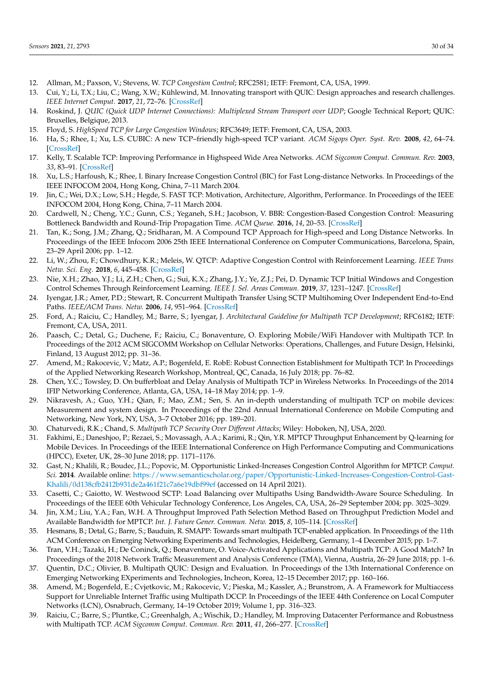- <span id="page-29-0"></span>12. Allman, M.; Paxson, V.; Stevens, W. *TCP Congestion Control*; RFC2581; IETF: Fremont, CA, USA, 1999.
- <span id="page-29-1"></span>13. Cui, Y.; Li, T.X.; Liu, C.; Wang, X.W.; Kühlewind, M. Innovating transport with QUIC: Design approaches and research challenges. *IEEE Internet Comput.* **2017**, *21*, 72–76. [\[CrossRef\]](http://dx.doi.org/10.1109/MIC.2017.44)
- <span id="page-29-2"></span>14. Roskind, J. *QUIC (Quick UDP Internet Connections): Multiplexed Stream Transport over UDP*; Google Technical Report; QUIC: Bruxelles, Belgique, 2013.
- <span id="page-29-3"></span>15. Floyd, S. *HighSpeed TCP for Large Congestion Windows*; RFC3649; IETF: Fremont, CA, USA, 2003.
- <span id="page-29-4"></span>16. Ha, S.; Rhee, I.; Xu, L.S. CUBIC: A new TCP–friendly high-speed TCP variant. *ACM Sigops Oper. Syst. Rev.* **2008**, *42*, 64–74. [\[CrossRef\]](http://dx.doi.org/10.1145/1400097.1400105)
- <span id="page-29-5"></span>17. Kelly, T. Scalable TCP: Improving Performance in Highspeed Wide Area Networks. *ACM Sigcomm Comput. Commun. Rev.* **2003**, *33*, 83–91. [\[CrossRef\]](http://dx.doi.org/10.1145/956981.956989)
- <span id="page-29-6"></span>18. Xu, L.S.; Harfoush, K.; Rhee, I. Binary Increase Congestion Control (BIC) for Fast Long-distance Networks. In Proceedings of the IEEE INFOCOM 2004, Hong Kong, China, 7–11 March 2004.
- <span id="page-29-7"></span>19. Jin, C.; Wei, D.X.; Low, S.H.; Hegde, S. FAST TCP: Motivation, Architecture, Algorithm, Performance. In Proceedings of the IEEE INFOCOM 2004, Hong Kong, China, 7–11 March 2004.
- <span id="page-29-8"></span>20. Cardwell, N.; Cheng, Y.C.; Gunn, C.S.; Yeganeh, S.H.; Jacobson, V. BBR: Congestion-Based Congestion Control: Measuring Bottleneck Bandwidth and Round-Trip Propagation Time. *ACM Queue.* **2016**, *14*, 20–53. [\[CrossRef\]](http://dx.doi.org/10.1145/3012426.3022184)
- <span id="page-29-9"></span>21. Tan, K.; Song, J.M.; Zhang, Q.; Sridharan, M. A Compound TCP Approach for High-speed and Long Distance Networks. In Proceedings of the IEEE Infocom 2006 25th IEEE International Conference on Computer Communications, Barcelona, Spain, 23–29 April 2006; pp. 1–12.
- <span id="page-29-10"></span>22. Li, W.; Zhou, F.; Chowdhury, K.R.; Meleis, W. QTCP: Adaptive Congestion Control with Reinforcement Learning. *IEEE Trans Netw. Sci. Eng.* **2018**, *6*, 445–458. [\[CrossRef\]](http://dx.doi.org/10.1109/TNSE.2018.2835758)
- <span id="page-29-11"></span>23. Nie, X.H.; Zhao, Y.J.; Li, Z.H.; Chen, G.; Sui, K.X.; Zhang, J.Y.; Ye, Z.J.; Pei, D. Dynamic TCP Initial Windows and Congestion Control Schemes Through Reinforcement Learning. *IEEE J. Sel. Areas Commun.* **2019**, *37*, 1231–1247. [\[CrossRef\]](http://dx.doi.org/10.1109/JSAC.2019.2904350)
- <span id="page-29-12"></span>24. Iyengar, J.R.; Amer, P.D.; Stewart, R. Concurrent Multipath Transfer Using SCTP Multihoming Over Independent End-to-End Paths. *IEEE/ACM Trans. Netw.* **2006**, *14*, 951–964. [\[CrossRef\]](http://dx.doi.org/10.1109/TNET.2006.882843)
- <span id="page-29-13"></span>25. Ford, A.; Raiciu, C.; Handley, M.; Barre, S.; Iyengar, J. *Architectural Guideline for Multipath TCP Development*; RFC6182; IETF: Fremont, CA, USA, 2011.
- <span id="page-29-14"></span>26. Paasch, C.; Detal, G.; Duchene, F.; Raiciu, C.; Bonaventure, O. Exploring Mobile/WiFi Handover with Multipath TCP. In Proceedings of the 2012 ACM SIGCOMM Workshop on Cellular Networks: Operations, Challenges, and Future Design, Helsinki, Finland, 13 August 2012; pp. 31–36.
- <span id="page-29-15"></span>27. Amend, M.; Rakocevic, V.; Matz, A.P.; Bogenfeld, E. RobE: Robust Connection Establishment for Multipath TCP. In Proceedings of the Applied Networking Research Workshop, Montreal, QC, Canada, 16 July 2018; pp. 76–82.
- <span id="page-29-16"></span>28. Chen, Y.C.; Towsley, D. On bufferbloat and Delay Analysis of Multipath TCP in Wireless Networks. In Proceedings of the 2014 IFIP Networking Conference, Atlanta, GA, USA, 14–18 May 2014; pp. 1–9.
- <span id="page-29-17"></span>29. Nikravesh, A.; Guo, Y.H.; Qian, F.; Mao, Z.M.; Sen, S. An in-depth understanding of multipath TCP on mobile devices: Measurement and system design. In Proceedings of the 22nd Annual International Conference on Mobile Computing and Networking, New York, NY, USA, 3–7 October 2016; pp. 189–201.
- <span id="page-29-18"></span>30. Chaturvedi, R.K.; Chand, S. *Multipath TCP Security Over Different Attacks*; Wiley: Hoboken, NJ, USA, 2020.
- <span id="page-29-19"></span>31. Fakhimi, E.; Daneshjoo, P.; Rezaei, S.; Movassagh, A.A.; Karimi, R.; Qin, Y.R. MPTCP Throughput Enhancement by Q-learning for Mobile Devices. In Proceedings of the IEEE International Conference on High Performance Computing and Communications (HPCC), Exeter, UK, 28–30 June 2018; pp. 1171–1176.
- <span id="page-29-20"></span>32. Gast, N.; Khalili, R.; Boudec, J.L.; Popovic, M. Opportunistic Linked-Increases Congestion Control Algorithm for MPTCP. *Comput. Sci.* **2014**. Available online: [https://www.semanticscholar.org/paper/Opportunistic-Linked-Increases-Congestion-Control-Gast-](https://www.semanticscholar.org/paper/Opportunistic-Linked-Increases-Congestion-Control-Gast-Khalili/0d138cfb2412b931de2a461f21c7a6e19dbf99ef)[Khalili/0d138cfb2412b931de2a461f21c7a6e19dbf99ef](https://www.semanticscholar.org/paper/Opportunistic-Linked-Increases-Congestion-Control-Gast-Khalili/0d138cfb2412b931de2a461f21c7a6e19dbf99ef) (accessed on 14 April 2021).
- <span id="page-29-21"></span>33. Casetti, C.; Gaiotto, W. Westwood SCTP: Load Balancing over Multipaths Using Bandwidth-Aware Source Scheduling. In Proceedings of the IEEE 60th Vehicular Technology Conference, Los Angeles, CA, USA, 26–29 September 2004; pp. 3025–3029.
- <span id="page-29-22"></span>34. Jin, X.M.; Liu, Y.A.; Fan, W.H. A Throughput Improved Path Selection Method Based on Throughput Prediction Model and Available Bandwidth for MPTCP. *Int. J. Future Gener. Commun. Netw.* **2015**, *8*, 105–114. [\[CrossRef\]](http://dx.doi.org/10.14257/ijfgcn.2015.8.2.09)
- <span id="page-29-23"></span>35. Hesmans, B.; Detal, G.; Barre, S.; Bauduin, R. SMAPP: Towards smart multipath TCP-enabled application. In Proceedings of the 11th ACM Conference on Emerging Networking Experiments and Technologies, Heidelberg, Germany, 1–4 December 2015; pp. 1–7.
- <span id="page-29-24"></span>36. Tran, V.H.; Tazaki, H.; De Coninck, Q.; Bonaventure, O. Voice-Activated Applications and Multipath TCP: A Good Match? In Proceedings of the 2018 Network Traffic Measurement and Analysis Conference (TMA), Vienna, Austria, 26–29 June 2018; pp. 1–6.
- <span id="page-29-25"></span>37. Quentin, D.C.; Olivier, B. Multipath QUIC: Design and Evaluation. In Proceedings of the 13th International Conference on Emerging Networking EXperiments and Technologies, Incheon, Korea, 12–15 December 2017; pp. 160–166.
- <span id="page-29-26"></span>38. Amend, M.; Bogenfeld, E.; Cvjetkovic, M.; Rakocevic, V.; Pieska, M.; Kassler, A.; Brunstrom, A. A Framework for Multiaccess Support for Unreliable Internet Traffic using Multipath DCCP. In Proceedings of the IEEE 44th Conference on Local Computer Networks (LCN), Osnabruch, Germany, 14–19 October 2019; Volume 1, pp. 316–323.
- <span id="page-29-27"></span>39. Raiciu, C.; Barre, S.; Pluntke, C.; Greenhalgh, A.; Wischik, D.; Handley, M. Improving Datacenter Performance and Robustness with Multipath TCP. *ACM Sigcomm Comput. Commun. Rev.* **2011**, *41*, 266–277. [\[CrossRef\]](http://dx.doi.org/10.1145/2043164.2018467)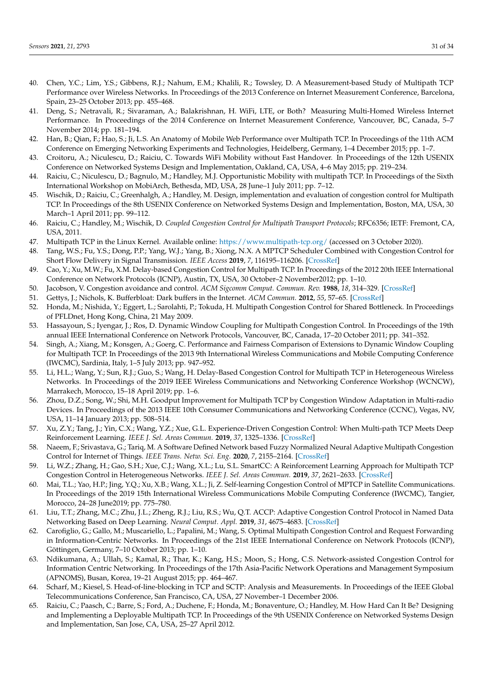- <span id="page-30-0"></span>40. Chen, Y.C.; Lim, Y.S.; Gibbens, R.J.; Nahum, E.M.; Khalili, R.; Towsley, D. A Measurement-based Study of Multipath TCP Performance over Wireless Networks. In Proceedings of the 2013 Conference on Internet Measurement Conference, Barcelona, Spain, 23–25 October 2013; pp. 455–468.
- <span id="page-30-1"></span>41. Deng, S.; Netravali, R.; Sivaraman, A.; Balakrishnan, H. WiFi, LTE, or Both? Measuring Multi-Homed Wireless Internet Performance. In Proceedings of the 2014 Conference on Internet Measurement Conference, Vancouver, BC, Canada, 5–7 November 2014; pp. 181–194.
- <span id="page-30-2"></span>42. Han, B.; Qian, F.; Hao, S.; Ji, L.S. An Anatomy of Mobile Web Performance over Multipath TCP. In Proceedings of the 11th ACM Conference on Emerging Networking Experiments and Technologies, Heidelberg, Germany, 1–4 December 2015; pp. 1–7.
- <span id="page-30-3"></span>43. Croitoru, A.; Niculescu, D.; Raiciu, C. Towards WiFi Mobility without Fast Handover. In Proceedings of the 12th USENIX Conference on Networked Systems Design and Implementation, Oakland, CA, USA, 4–6 May 2015; pp. 219–234.
- <span id="page-30-4"></span>44. Raiciu, C.; Niculescu, D.; Bagnulo, M.; Handley, M.J. Opportunistic Mobility with multipath TCP. In Proceedings of the Sixth International Workshop on MobiArch, Bethesda, MD, USA, 28 June–1 July 2011; pp. 7–12.
- <span id="page-30-5"></span>45. Wischik, D.; Raiciu, C.; Greenhalgh, A.; Handley, M. Design, implementation and evaluation of congestion control for Multipath TCP. In Proceedings of the 8th USENIX Conference on Networked Systems Design and Implementation, Boston, MA, USA, 30 March–1 April 2011; pp. 99–112.
- <span id="page-30-6"></span>46. Raiciu, C.; Handley, M.; Wischik, D. *Coupled Congestion Control for Multipath Transport Protocols*; RFC6356; IETF: Fremont, CA, USA, 2011.
- <span id="page-30-7"></span>47. Multipath TCP in the Linux Kernel. Available online: <https://www.multipath-tcp.org/> (accessed on 3 October 2020).
- <span id="page-30-8"></span>48. Tang, W.S.; Fu, Y.S.; Dong, P.P.; Yang, W.J.; Yang, B.; Xiong, N.X. A MPTCP Scheduler Combined with Congestion Control for Short Flow Delivery in Signal Transmission. *IEEE Access* **2019**, *7*, 116195–116206. [\[CrossRef\]](http://dx.doi.org/10.1109/ACCESS.2019.2933880)
- <span id="page-30-9"></span>49. Cao, Y.; Xu, M.W.; Fu, X.M. Delay-based Congestion Control for Multipath TCP. In Proceedings of the 2012 20th IEEE International Conference on Network Protocols (ICNP), Austin, TX, USA, 30 October–2 November2012; pp. 1–10.
- <span id="page-30-10"></span>50. Jacobson, V. Congestion avoidance and control. *ACM Sigcomm Comput. Commun. Rev.* **1988**, *18*, 314–329. [\[CrossRef\]](http://dx.doi.org/10.1145/52325.52356)
- <span id="page-30-11"></span>51. Gettys, J.; Nichols, K. Bufferbloat: Dark buffers in the Internet. *ACM Commun.* **2012**, *55*, 57–65. [\[CrossRef\]](http://dx.doi.org/10.1145/2063176.2063196)
- <span id="page-30-12"></span>52. Honda, M.; Nishida, Y.; Eggert, L.; Sarolahti, P.; Tokuda, H. Multipath Congestion Control for Shared Bottleneck. In Proceedings of PFLDnet, Hong Kong, China, 21 May 2009.
- <span id="page-30-13"></span>53. Hassayoun, S.; Iyengar, J.; Ros, D. Dynamic Window Coupling for Multipath Congestion Control. In Proceedings of the 19th annual IEEE International Conference on Network Protocols, Vancouver, BC, Canada, 17–20 October 2011; pp. 341–352.
- <span id="page-30-14"></span>54. Singh, A.; Xiang, M.; Konsgen, A.; Goerg, C. Performance and Fairness Comparison of Extensions to Dynamic Window Coupling for Multipath TCP. In Proceedings of the 2013 9th International Wireless Communications and Mobile Computing Conference (IWCMC), Sardinia, Italy, 1–5 July 2013; pp. 947–952.
- <span id="page-30-15"></span>55. Li, H.L.; Wang, Y.; Sun, R.J.; Guo, S.; Wang, H. Delay-Based Congestion Control for Multipath TCP in Heterogeneous Wireless Networks. In Proceedings of the 2019 IEEE Wireless Communications and Networking Conference Workshop (WCNCW), Marrakech, Morocco, 15–18 April 2019; pp. 1–6.
- <span id="page-30-16"></span>56. Zhou, D.Z.; Song, W.; Shi, M.H. Goodput Improvement for Multipath TCP by Congestion Window Adaptation in Multi-radio Devices. In Proceedings of the 2013 IEEE 10th Consumer Communications and Networking Conference (CCNC), Vegas, NV, USA, 11–14 January 2013; pp. 508–514.
- <span id="page-30-17"></span>57. Xu, Z.Y.; Tang, J.; Yin, C.X.; Wang, Y.Z.; Xue, G.L. Experience-Driven Congestion Control: When Multi-path TCP Meets Deep Reinforcement Learning. *IEEE J. Sel. Areas Commun.* **2019**, *37*, 1325–1336. [\[CrossRef\]](http://dx.doi.org/10.1109/JSAC.2019.2904358)
- <span id="page-30-18"></span>58. Naeem, F.; Srivastava, G.; Tariq, M. A Software Defined Network based Fuzzy Normalized Neural Adaptive Multipath Congestion Control for Internet of Things. *IEEE Trans. Netw. Sci. Eng.* **2020**, *7*, 2155–2164. [\[CrossRef\]](http://dx.doi.org/10.1109/TNSE.2020.2991106)
- <span id="page-30-19"></span>59. Li, W.Z.; Zhang, H.; Gao, S.H.; Xue, C.J.; Wang, X.L.; Lu, S.L. SmartCC: A Reinforcement Learning Approach for Multipath TCP Congestion Control in Heterogeneous Networks. *IEEE J. Sel. Areas Commun.* **2019**, *37*, 2621–2633. [\[CrossRef\]](http://dx.doi.org/10.1109/JSAC.2019.2933761)
- <span id="page-30-20"></span>60. Mai, T.L.; Yao, H.P.; Jing, Y.Q.; Xu, X.B.; Wang, X.L.; Ji, Z. Self-learning Congestion Control of MPTCP in Satellite Communications. In Proceedings of the 2019 15th International Wireless Communications Mobile Computing Conference (IWCMC), Tangier, Morocco, 24–28 June2019; pp. 775–780.
- <span id="page-30-21"></span>61. Liu, T.T.; Zhang, M.C.; Zhu, J.L.; Zheng, R.J.; Liu, R.S.; Wu, Q.T. ACCP: Adaptive Congestion Control Protocol in Named Data Networking Based on Deep Learning. *Neural Comput. Appl.* **2019**, *31*, 4675–4683. [\[CrossRef\]](http://dx.doi.org/10.1007/s00521-018-3408-2)
- <span id="page-30-22"></span>62. Carofiglio, G.; Gallo, M.; Muscariello, L.; Papalini, M.; Wang, S. Optimal Multipath Congestion Control and Request Forwarding in Information-Centric Networks. In Proceedings of the 21st IEEE International Conference on Network Protocols (ICNP), Göttingen, Germany, 7–10 October 2013; pp. 1–10.
- <span id="page-30-23"></span>63. Ndikumana, A.; Ullah, S.; Kamal, R.; Thar, K.; Kang, H.S.; Moon, S.; Hong, C.S. Network-assisted Congestion Control for Information Centric Networking. In Proceedings of the 17th Asia-Pacific Network Operations and Management Symposium (APNOMS), Busan, Korea, 19–21 August 2015; pp. 464–467.
- <span id="page-30-24"></span>64. Scharf, M.; Kiesel, S. Head-of-line-blocking in TCP and SCTP: Analysis and Measurements. In Proceedings of the IEEE Global Telecommunications Conference, San Francisco, CA, USA, 27 November–1 December 2006.
- <span id="page-30-25"></span>65. Raiciu, C.; Paasch, C.; Barre, S.; Ford, A.; Duchene, F.; Honda, M.; Bonaventure, O.; Handley, M. How Hard Can It Be? Designing and Implementing a Deployable Multipath TCP. In Proceedings of the 9th USENIX Conference on Networked Systems Design and Implementation, San Jose, CA, USA, 25–27 April 2012.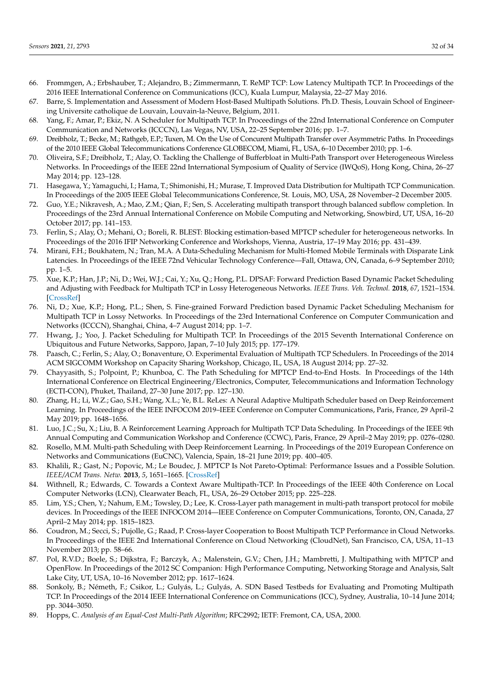- <span id="page-31-0"></span>66. Frommgen, A.; Erbshauber, T.; Alejandro, B.; Zimmermann, T. ReMP TCP: Low Latency Multipath TCP. In Proceedings of the 2016 IEEE International Conference on Communications (ICC), Kuala Lumpur, Malaysia, 22–27 May 2016.
- <span id="page-31-1"></span>67. Barre, S. Implementation and Assessment of Modern Host-Based Multipath Solutions. Ph.D. Thesis, Louvain School of Engineering Universite catholique de Louvain, Louvain-la-Neuve, Belgium, 2011.
- <span id="page-31-2"></span>68. Yang, F.; Amar, P.; Ekiz, N. A Scheduler for Multipath TCP. In Proceedings of the 22nd International Conference on Computer Communication and Networks (ICCCN), Las Vegas, NV, USA, 22–25 September 2016; pp. 1–7.
- <span id="page-31-3"></span>69. Dreibholz, T.; Becke, M.; Rathgeb, E.P.; Tuxen, M. On the Use of Concurent Multipath Transfer over Asymmetric Paths. In Proceedings of the 2010 IEEE Global Telecommunications Conference GLOBECOM, Miami, FL, USA, 6–10 December 2010; pp. 1–6.
- <span id="page-31-4"></span>70. Oliveira, S.F.; Dreibholz, T.; Alay, O. Tackling the Challenge of Bufferbloat in Multi-Path Transport over Heterogeneous Wireless Networks. In Proceedings of the IEEE 22nd International Symposium of Quality of Service (IWQoS), Hong Kong, China, 26–27 May 2014; pp. 123–128.
- <span id="page-31-5"></span>71. Hasegawa, Y.; Yamaguchi, I.; Hama, T.; Shimonishi, H.; Murase, T. Improved Data Distribution for Multipath TCP Communication. In Proceedings of the 2005 IEEE Global Telecommunications Conference, St. Louis, MO, USA, 28 November–2 December 2005.
- <span id="page-31-6"></span>72. Guo, Y.E.; Nikravesh, A.; Mao, Z.M.; Qian, F.; Sen, S. Accelerating multipath transport through balanced subflow completion. In Proceedings of the 23rd Annual International Conference on Mobile Computing and Networking, Snowbird, UT, USA, 16–20 October 2017; pp. 141–153.
- <span id="page-31-7"></span>73. Ferlin, S.; Alay, O.; Mehani, O.; Boreli, R. BLEST: Blocking estimation-based MPTCP scheduler for heterogeneous networks. In Proceedings of the 2016 IFIP Networking Conference and Workshops, Vienna, Austria, 17–19 May 2016; pp. 431–439.
- <span id="page-31-8"></span>74. Mirani, F.H.; Boukhatem, N.; Tran, M.A. A Data-Scheduling Mechanism for Multi-Homed Mobile Terminals with Disparate Link Latencies. In Proceedings of the IEEE 72nd Vehicular Technology Conference—Fall, Ottawa, ON, Canada, 6–9 September 2010; pp. 1–5.
- <span id="page-31-9"></span>75. Xue, K.P.; Han, J.P.; Ni, D.; Wei, W.J.; Cai, Y.; Xu, Q.; Hong, P.L. DPSAF: Forward Prediction Based Dynamic Packet Scheduling and Adjusting with Feedback for Multipath TCP in Lossy Heterogeneous Networks. *IEEE Trans. Veh. Technol.* **2018**, *67*, 1521–1534. [\[CrossRef\]](http://dx.doi.org/10.1109/TVT.2017.2753398)
- <span id="page-31-10"></span>76. Ni, D.; Xue, K.P.; Hong, P.L.; Shen, S. Fine-grained Forward Prediction based Dynamic Packet Scheduling Mechanism for Multipath TCP in Lossy Networks. In Proceedings of the 23rd International Conference on Computer Communication and Networks (ICCCN), Shanghai, China, 4–7 August 2014; pp. 1–7.
- <span id="page-31-11"></span>77. Hwang, J.; Yoo, J. Packet Scheduling for Multipath TCP. In Proceedings of the 2015 Seventh International Conference on Ubiquitous and Future Networks, Sapporo, Japan, 7–10 July 2015; pp. 177–179.
- <span id="page-31-12"></span>78. Paasch, C.; Ferlin, S.; Alay, O.; Bonaventure, O. Experimental Evaluation of Multipath TCP Schedulers. In Proceedings of the 2014 ACM SIGCOMM Workshop on Capacity Sharing Workshop, Chicago, IL, USA, 18 August 2014; pp. 27–32.
- <span id="page-31-13"></span>79. Chayyasith, S.; Polpoint, P.; Khunboa, C. The Path Scheduling for MPTCP End-to-End Hosts. In Proceedings of the 14th International Conference on Electrical Engineering/Electronics, Computer, Telecommunications and Information Technology (ECTI-CON), Phuket, Thailand, 27–30 June 2017; pp. 127–130.
- <span id="page-31-14"></span>80. Zhang, H.; Li, W.Z.; Gao, S.H.; Wang, X.L.; Ye, B.L. ReLes: A Neural Adaptive Multipath Scheduler based on Deep Reinforcement Learning. In Proceedings of the IEEE INFOCOM 2019–IEEE Conference on Computer Communications, Paris, France, 29 April–2 May 2019; pp. 1648–1656.
- <span id="page-31-15"></span>81. Luo, J.C.; Su, X.; Liu, B. A Reinforcement Learning Approach for Multipath TCP Data Scheduling. In Proceedings of the IEEE 9th Annual Computing and Communication Workshop and Conference (CCWC), Paris, France, 29 April–2 May 2019; pp. 0276–0280.
- <span id="page-31-16"></span>82. Rosello, M.M. Multi-path Scheduling with Deep Reinforcement Learning. In Proceedings of the 2019 European Conference on Networks and Communications (EuCNC), Valencia, Spain, 18–21 June 2019; pp. 400–405.
- <span id="page-31-17"></span>83. Khalili, R.; Gast, N.; Popovic, M.; Le Boudec, J. MPTCP Is Not Pareto-Optimal: Performance Issues and a Possible Solution. *IEEE/ACM Trans. Netw.* **2013**, *5*, 1651–1665. [\[CrossRef\]](http://dx.doi.org/10.1109/TNET.2013.2274462)
- <span id="page-31-18"></span>84. Withnell, R.; Edwards, C. Towards a Context Aware Multipath-TCP. In Proceedings of the IEEE 40th Conference on Local Computer Networks (LCN), Clearwater Beach, FL, USA, 26–29 October 2015; pp. 225–228.
- <span id="page-31-19"></span>85. Lim, Y.S.; Chen, Y.; Nahum, E.M.; Towsley, D.; Lee, K. Cross-Layer path management in multi-path transport protocol for mobile devices. In Proceedings of the IEEE INFOCOM 2014—IEEE Conference on Computer Communications, Toronto, ON, Canada, 27 April–2 May 2014; pp. 1815–1823.
- <span id="page-31-20"></span>86. Coudron, M.; Secci, S.; Pujolle, G.; Raad, P. Cross-layer Cooperation to Boost Multipath TCP Performance in Cloud Networks. In Proceedings of the IEEE 2nd International Conference on Cloud Networking (CloudNet), San Francisco, CA, USA, 11–13 November 2013; pp. 58–66.
- <span id="page-31-21"></span>87. Pol, R.V.D.; Boele, S.; Dijkstra, F.; Barczyk, A.; Malenstein, G.V.; Chen, J.H.; Mambretti, J. Multipathing with MPTCP and OpenFlow. In Proceedings of the 2012 SC Companion: High Performance Computing, Networking Storage and Analysis, Salt Lake City, UT, USA, 10–16 November 2012; pp. 1617–1624.
- <span id="page-31-22"></span>88. Sonkoly, B.; Németh, F.; Csikor, L.; Gulyás, L.; Gulyás, A. SDN Based Testbeds for Evaluating and Promoting Multipath TCP. In Proceedings of the 2014 IEEE International Conference on Communications (ICC), Sydney, Australia, 10–14 June 2014; pp. 3044–3050.
- <span id="page-31-23"></span>89. Hopps, C. *Analysis of an Equal-Cost Multi-Path Algorithm*; RFC2992; IETF: Fremont, CA, USA, 2000.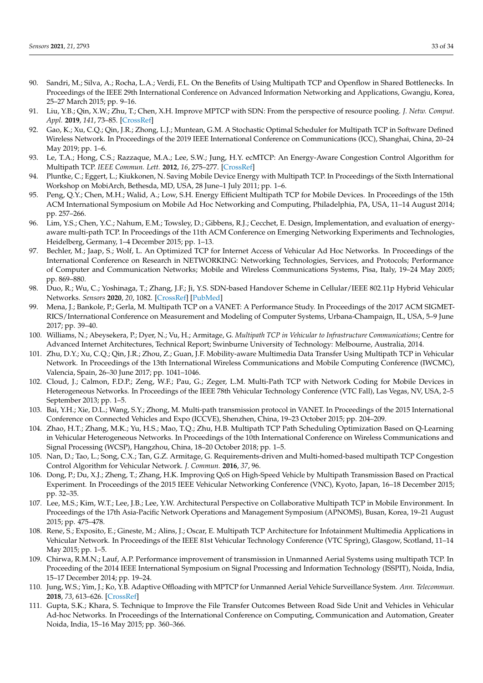- <span id="page-32-0"></span>90. Sandri, M.; Silva, A.; Rocha, L.A.; Verdi, F.L. On the Benefits of Using Multipath TCP and Openflow in Shared Bottlenecks. In Proceedings of the IEEE 29th International Conference on Advanced Information Networking and Applications, Gwangju, Korea, 25–27 March 2015; pp. 9–16.
- <span id="page-32-1"></span>91. Liu, Y.B.; Qin, X.W.; Zhu, T.; Chen, X.H. Improve MPTCP with SDN: From the perspective of resource pooling. *J. Netw. Comput. Appl.* **2019**, *141*, 73–85. [\[CrossRef\]](http://dx.doi.org/10.1016/j.jnca.2019.05.015)
- <span id="page-32-2"></span>92. Gao, K.; Xu, C.Q.; Qin, J.R.; Zhong, L.J.; Muntean, G.M. A Stochastic Optimal Scheduler for Multipath TCP in Software Defined Wireless Network. In Proceedings of the 2019 IEEE International Conference on Communications (ICC), Shanghai, China, 20–24 May 2019; pp. 1–6.
- <span id="page-32-3"></span>93. Le, T.A.; Hong, C.S.; Razzaque, M.A.; Lee, S.W.; Jung, H.Y. ecMTCP: An Energy-Aware Congestion Control Algorithm for Multipath TCP. *IEEE Commun. Lett.* **2012**, *16*, 275–277. [\[CrossRef\]](http://dx.doi.org/10.1109/LCOMM.2011.120211.111818)
- <span id="page-32-4"></span>94. Pluntke, C.; Eggert, L.; Kiukkonen, N. Saving Mobile Device Energy with Multipath TCP. In Proceedings of the Sixth International Workshop on MobiArch, Bethesda, MD, USA, 28 June–1 July 2011; pp. 1–6.
- <span id="page-32-5"></span>95. Peng, Q.Y.; Chen, M.H.; Walid, A.; Low, S.H. Energy Efficient Multipath TCP for Mobile Devices. In Proceedings of the 15th ACM International Symposium on Mobile Ad Hoc Networking and Computing, Philadelphia, PA, USA, 11–14 August 2014; pp. 257–266.
- <span id="page-32-6"></span>96. Lim, Y.S.; Chen, Y.C.; Nahum, E.M.; Towsley, D.; Gibbens, R.J.; Cecchet, E. Design, Implementation, and evaluation of energyaware multi-path TCP. In Proceedings of the 11th ACM Conference on Emerging Networking Experiments and Technologies, Heidelberg, Germany, 1–4 December 2015; pp. 1–13.
- <span id="page-32-7"></span>97. Bechler, M.; Jaap, S.; Wolf, L. An Optimized TCP for Internet Access of Vehicular Ad Hoc Networks. In Proceedings of the International Conference on Research in NETWORKING: Networking Technologies, Services, and Protocols; Performance of Computer and Communication Networks; Mobile and Wireless Communications Systems, Pisa, Italy, 19–24 May 2005; pp. 869–880.
- <span id="page-32-8"></span>98. Duo, R.; Wu, C.; Yoshinaga, T.; Zhang, J.F.; Ji, Y.S. SDN-based Handover Scheme in Cellular/IEEE 802.11p Hybrid Vehicular Networks. *Sensors* **2020**, *20*, 1082. [\[CrossRef\]](http://dx.doi.org/10.3390/s20041082) [\[PubMed\]](http://www.ncbi.nlm.nih.gov/pubmed/32079248)
- <span id="page-32-9"></span>99. Mena, J.; Bankole, P.; Gerla, M. Multipath TCP on a VANET: A Performance Study. In Proceedings of the 2017 ACM SIGMET-RICS/International Conference on Measurement and Modeling of Computer Systems, Urbana-Champaign, IL, USA, 5–9 June 2017; pp. 39–40.
- <span id="page-32-10"></span>100. Williams, N.; Abeysekera, P.; Dyer, N.; Vu, H.; Armitage, G. *Multipath TCP in Vehicular to Infrastructure Communications*; Centre for Advanced Internet Architectures, Technical Report; Swinburne University of Technology: Melbourne, Australia, 2014.
- <span id="page-32-11"></span>101. Zhu, D.Y.; Xu, C.Q.; Qin, J.R.; Zhou, Z.; Guan, J.F. Mobility-aware Multimedia Data Transfer Using Multipath TCP in Vehicular Network. In Proceedings of the 13th International Wireless Communications and Mobile Computing Conference (IWCMC), Valencia, Spain, 26–30 June 2017; pp. 1041–1046.
- <span id="page-32-12"></span>102. Cloud, J.; Calmon, F.D.P.; Zeng, W.F.; Pau, G.; Zeger, L.M. Multi-Path TCP with Network Coding for Mobile Devices in Heterogeneous Networks. In Proceedings of the IEEE 78th Vehicular Technology Conference (VTC Fall), Las Vegas, NV, USA, 2–5 September 2013; pp. 1–5.
- <span id="page-32-13"></span>103. Bai, Y.H.; Xie, D.L.; Wang, S.Y.; Zhong, M. Multi-path transmission protocol in VANET. In Proceedings of the 2015 International Conference on Connected Vehicles and Expo (ICCVE), Shenzhen, China, 19–23 October 2015; pp. 204–209.
- <span id="page-32-14"></span>104. Zhao, H.T.; Zhang, M.K.; Yu, H.S.; Mao, T.Q.; Zhu, H.B. Multipath TCP Path Scheduling Optimization Based on Q-Learning in Vehicular Heterogeneous Networks. In Proceedings of the 10th International Conference on Wireless Communications and Signal Processing (WCSP), Hangzhou, China, 18–20 October 2018; pp. 1–5.
- <span id="page-32-15"></span>105. Nan, D.; Tao, L.; Song, C.X.; Tan, G.Z. Armitage, G. Requirements-driven and Multi-homed-based multipath TCP Congestion Control Algorithm for Vehicular Network. *J. Commun.* **2016**, *37*, 96.
- <span id="page-32-16"></span>106. Dong, P.; Du, X.J.; Zheng, T.; Zhang, H.K. Improving QoS on High-Speed Vehicle by Multipath Transmission Based on Practical Experiment. In Proceedings of the 2015 IEEE Vehicular Networking Conference (VNC), Kyoto, Japan, 16–18 December 2015; pp. 32–35.
- <span id="page-32-17"></span>107. Lee, M.S.; Kim, W.T.; Lee, J.B.; Lee, Y.W. Architectural Perspective on Collaborative Multipath TCP in Mobile Environment. In Proceedings of the 17th Asia-Pacific Network Operations and Management Symposium (APNOMS), Busan, Korea, 19–21 August 2015; pp. 475–478.
- <span id="page-32-18"></span>108. Rene, S.; Exposito, E.; Gineste, M.; Alins, J.; Oscar, E. Multipath TCP Architecture for Infotainment Multimedia Applications in Vehicular Network. In Proceedings of the IEEE 81st Vehicular Technology Conference (VTC Spring), Glasgow, Scotland, 11–14 May 2015; pp. 1–5.
- <span id="page-32-19"></span>109. Chirwa, R.M.N.; Lauf, A.P. Performance improvement of transmission in Unmanned Aerial Systems using multipath TCP. In Proceeding of the 2014 IEEE International Symposium on Signal Processing and Information Technology (ISSPIT), Noida, India, 15–17 December 2014; pp. 19–24.
- <span id="page-32-20"></span>110. Jung, W.S.; Yim, J.; Ko, Y.B. Adaptive Offloading with MPTCP for Unmanned Aerial Vehicle Surveillance System. *Ann. Telecommun.* **2018**, *73*, 613–626. [\[CrossRef\]](http://dx.doi.org/10.1007/s12243-018-0660-5)
- <span id="page-32-21"></span>111. Gupta, S.K.; Khara, S. Technique to Improve the File Transfer Outcomes Between Road Side Unit and Vehicles in Vehicular Ad-hoc Networks. In Proceedings of the International Conference on Computing, Communication and Automation, Greater Noida, India, 15–16 May 2015; pp. 360–366.